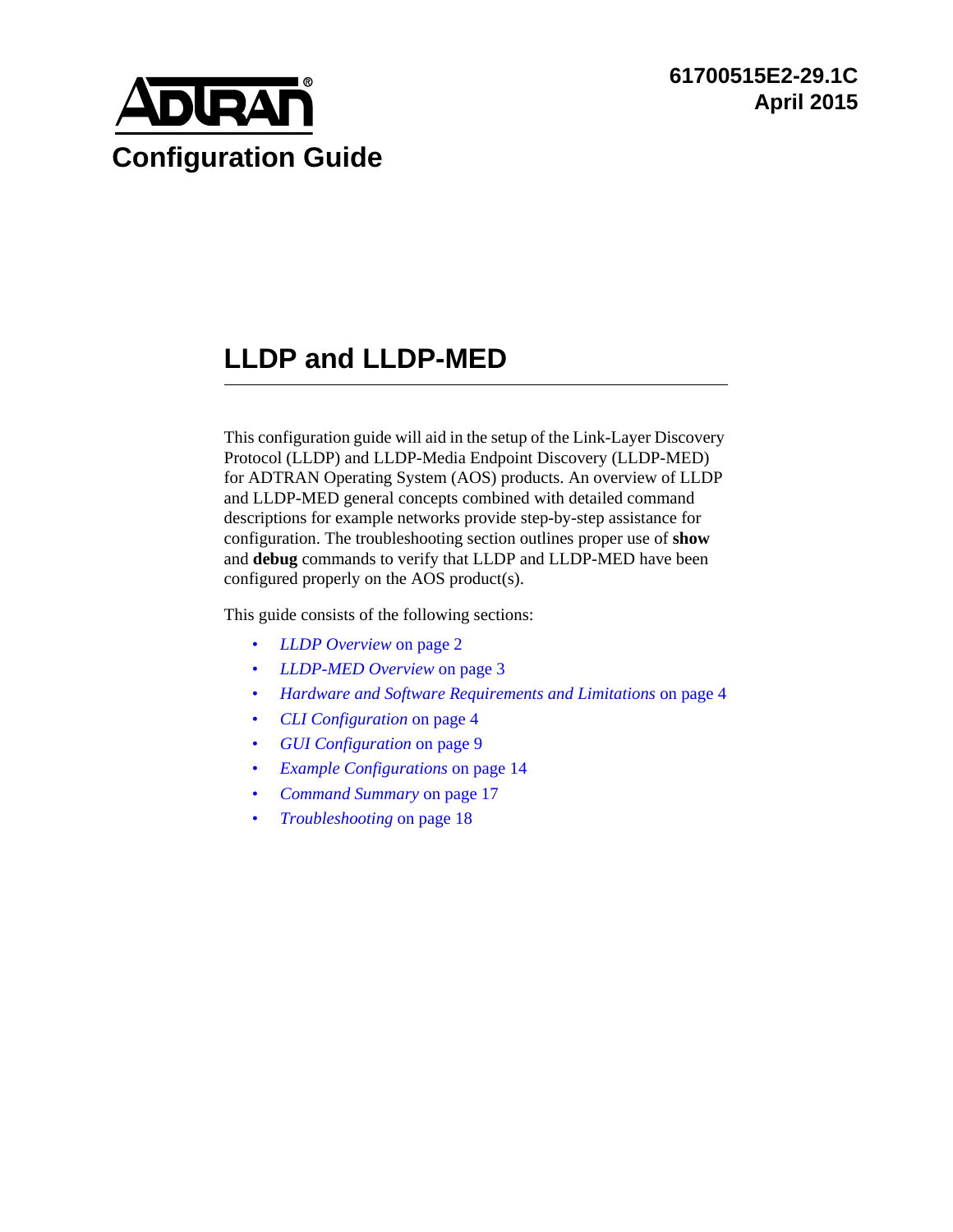

# **LLDP and LLDP-MED**

This configuration guide will aid in the setup of the Link-Layer Discovery Protocol (LLDP) and LLDP-Media Endpoint Discovery (LLDP-MED) for ADTRAN Operating System (AOS) products. An overview of LLDP and LLDP-MED general concepts combined with detailed command descriptions for example networks provide step-by-step assistance for configuration. The troubleshooting section outlines proper use of **show** and **debug** commands to verify that LLDP and LLDP-MED have been configured properly on the AOS product(s).

This guide consists of the following sections:

- *[LLDP Overview](#page-1-0)* on page 2
- *[LLDP-MED Overview](#page-2-0)* on page 3
- *[Hardware and Software Requirements and Limitations](#page-3-1)* on page 4
- *[CLI Configuration](#page-3-0)* on page 4
- *[GUI Configuration](#page-8-0)* on page 9
- *[Example Configurations](#page-13-0)* on page 14
- *[Command Summary](#page-16-0)* on page 17
- *[Troubleshooting](#page-17-0)* on page 18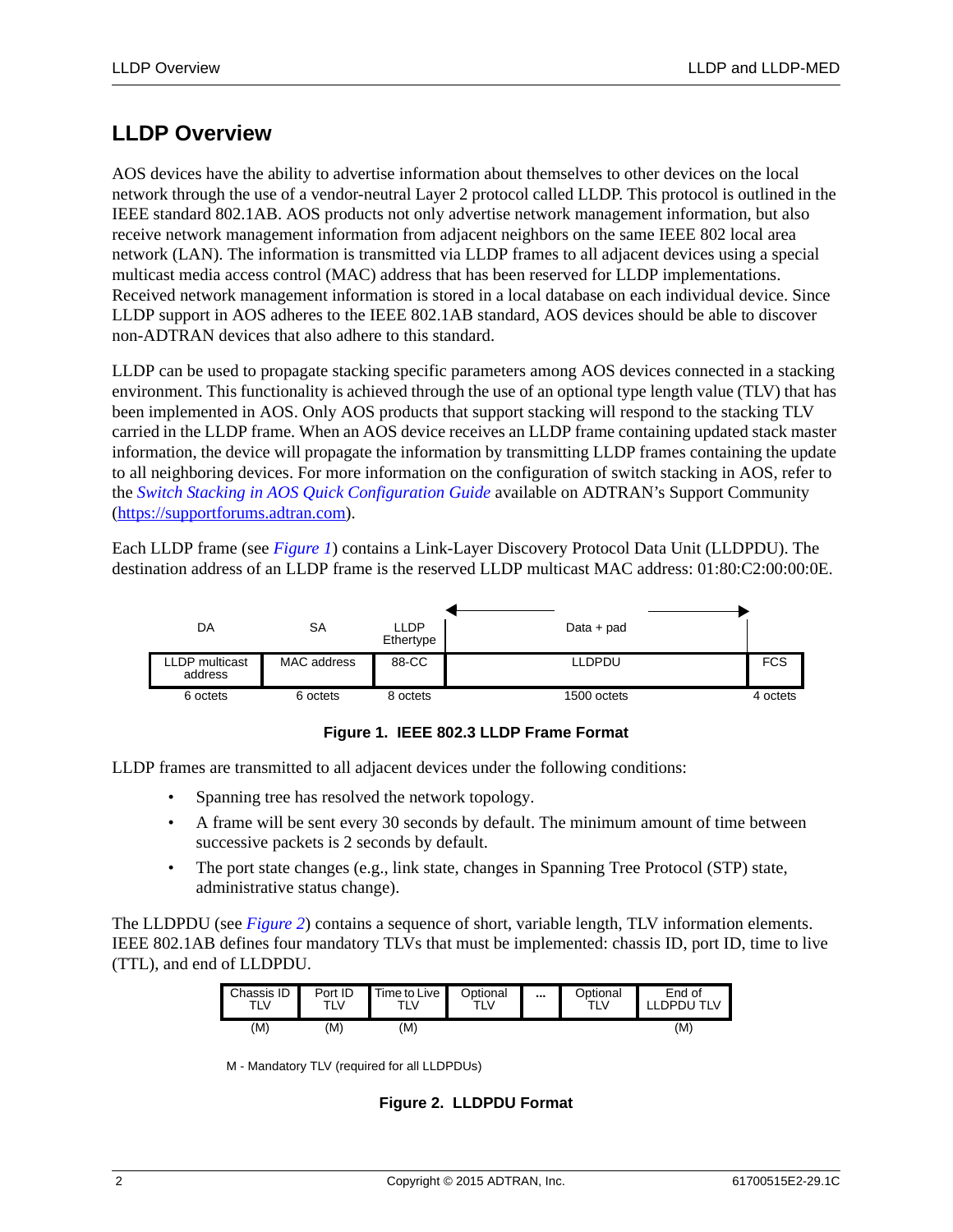# <span id="page-1-0"></span>**LLDP Overview**

AOS devices have the ability to advertise information about themselves to other devices on the local network through the use of a vendor-neutral Layer 2 protocol called LLDP. This protocol is outlined in the IEEE standard 802.1AB. AOS products not only advertise network management information, but also receive network management information from adjacent neighbors on the same IEEE 802 local area network (LAN). The information is transmitted via LLDP frames to all adjacent devices using a special multicast media access control (MAC) address that has been reserved for LLDP implementations. Received network management information is stored in a local database on each individual device. Since LLDP support in AOS adheres to the IEEE 802.1AB standard, AOS devices should be able to discover non-ADTRAN devices that also adhere to this standard.

LLDP can be used to propagate stacking specific parameters among AOS devices connected in a stacking environment. This functionality is achieved through the use of an optional type length value (TLV) that has been implemented in AOS. Only AOS products that support stacking will respond to the stacking TLV carried in the LLDP frame. When an AOS device receives an LLDP frame containing updated stack master information, the device will propagate the information by transmitting LLDP frames containing the update to all neighboring devices. For more information on the configuration of switch stacking in AOS, refer to the *[Switch Stacking in AOS Quick Configuration Guide](https://supportforums.adtran.com/docs/DOC-2290)* available on ADTRAN's Support Community (<https://supportforums.adtran.com>).

Each LLDP frame (see *[Figure 1](#page-1-1)*) contains a Link-Layer Discovery Protocol Data Unit (LLDPDU). The destination address of an LLDP frame is the reserved LLDP multicast MAC address: 01:80:C2:00:00:0E.



**Figure 1. IEEE 802.3 LLDP Frame Format**

<span id="page-1-1"></span>LLDP frames are transmitted to all adjacent devices under the following conditions:

- Spanning tree has resolved the network topology.
- A frame will be sent every 30 seconds by default. The minimum amount of time between successive packets is 2 seconds by default.
- The port state changes (e.g., link state, changes in Spanning Tree Protocol (STP) state, administrative status change).

The LLDPDU (see *[Figure 2](#page-1-2)*) contains a sequence of short, variable length, TLV information elements. IEEE 802.1AB defines four mandatory TLVs that must be implemented: chassis ID, port ID, time to live (TTL), and end of LLDPDU.

| Chassis ID | Port ID | Time to Live | <b>Optional</b> | <br><b>Optional</b> | End of    |
|------------|---------|--------------|-----------------|---------------------|-----------|
| TLV        | TLV     | TLV          | TLV             | ⊤LV⊹                | LDPDU TLV |
| (M)        | (M)     | (M)          |                 |                     | (M)       |

<span id="page-1-2"></span>M - Mandatory TLV (required for all LLDPDUs)

**Figure 2. LLDPDU Format**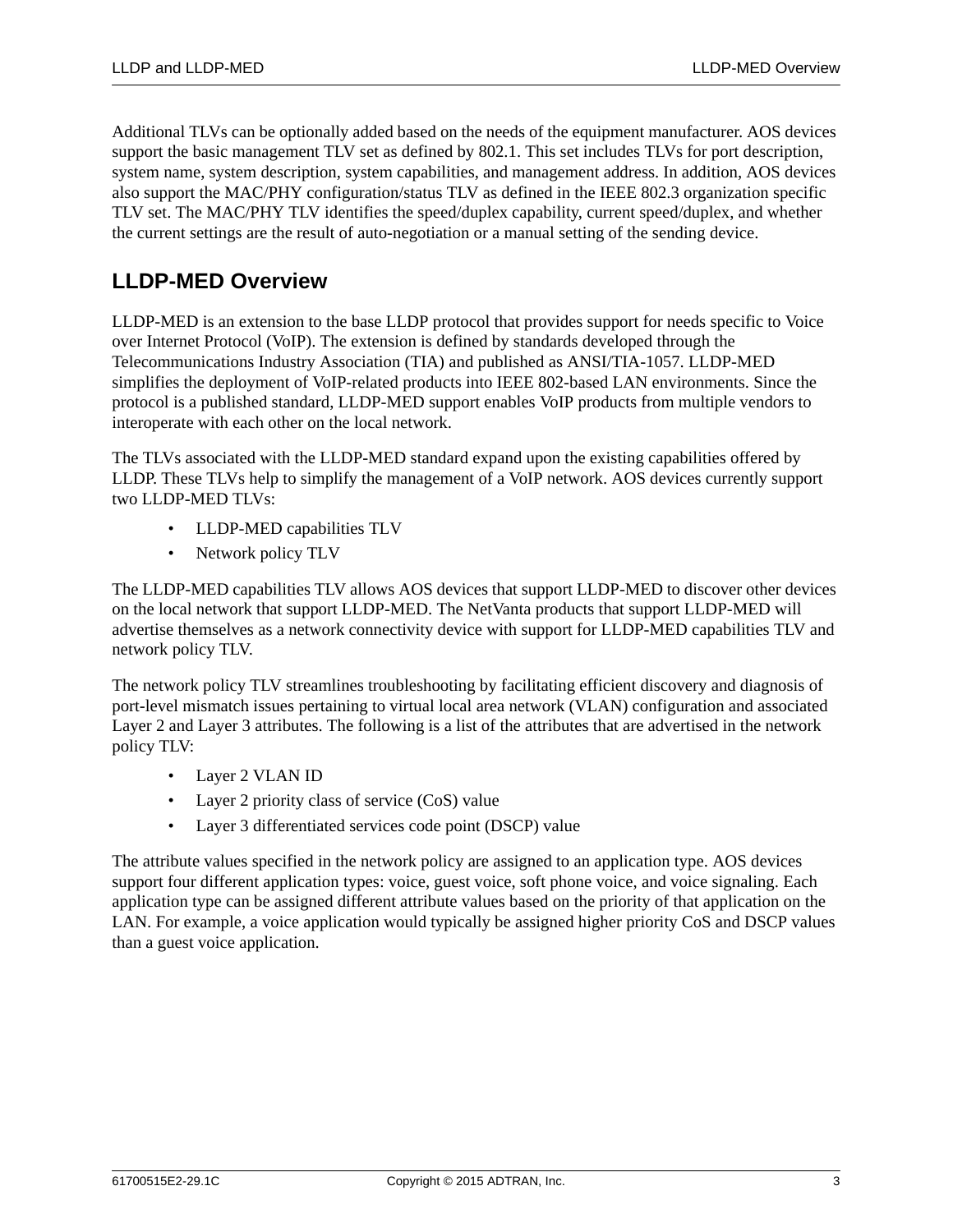Additional TLVs can be optionally added based on the needs of the equipment manufacturer. AOS devices support the basic management TLV set as defined by 802.1. This set includes TLVs for port description, system name, system description, system capabilities, and management address. In addition, AOS devices also support the MAC/PHY configuration/status TLV as defined in the IEEE 802.3 organization specific TLV set. The MAC/PHY TLV identifies the speed/duplex capability, current speed/duplex, and whether the current settings are the result of auto-negotiation or a manual setting of the sending device.

# <span id="page-2-0"></span>**LLDP-MED Overview**

LLDP-MED is an extension to the base LLDP protocol that provides support for needs specific to Voice over Internet Protocol (VoIP). The extension is defined by standards developed through the Telecommunications Industry Association (TIA) and published as ANSI/TIA-1057. LLDP-MED simplifies the deployment of VoIP-related products into IEEE 802-based LAN environments. Since the protocol is a published standard, LLDP-MED support enables VoIP products from multiple vendors to interoperate with each other on the local network.

The TLVs associated with the LLDP-MED standard expand upon the existing capabilities offered by LLDP. These TLVs help to simplify the management of a VoIP network. AOS devices currently support two LLDP-MED TLVs:

- LLDP-MED capabilities TLV
- Network policy TLV

The LLDP-MED capabilities TLV allows AOS devices that support LLDP-MED to discover other devices on the local network that support LLDP-MED. The NetVanta products that support LLDP-MED will advertise themselves as a network connectivity device with support for LLDP-MED capabilities TLV and network policy TLV.

The network policy TLV streamlines troubleshooting by facilitating efficient discovery and diagnosis of port-level mismatch issues pertaining to virtual local area network (VLAN) configuration and associated Layer 2 and Layer 3 attributes. The following is a list of the attributes that are advertised in the network policy TLV:

- Layer 2 VLAN ID
- Layer 2 priority class of service (CoS) value
- Layer 3 differentiated services code point (DSCP) value

The attribute values specified in the network policy are assigned to an application type. AOS devices support four different application types: voice, guest voice, soft phone voice, and voice signaling. Each application type can be assigned different attribute values based on the priority of that application on the LAN. For example, a voice application would typically be assigned higher priority CoS and DSCP values than a guest voice application.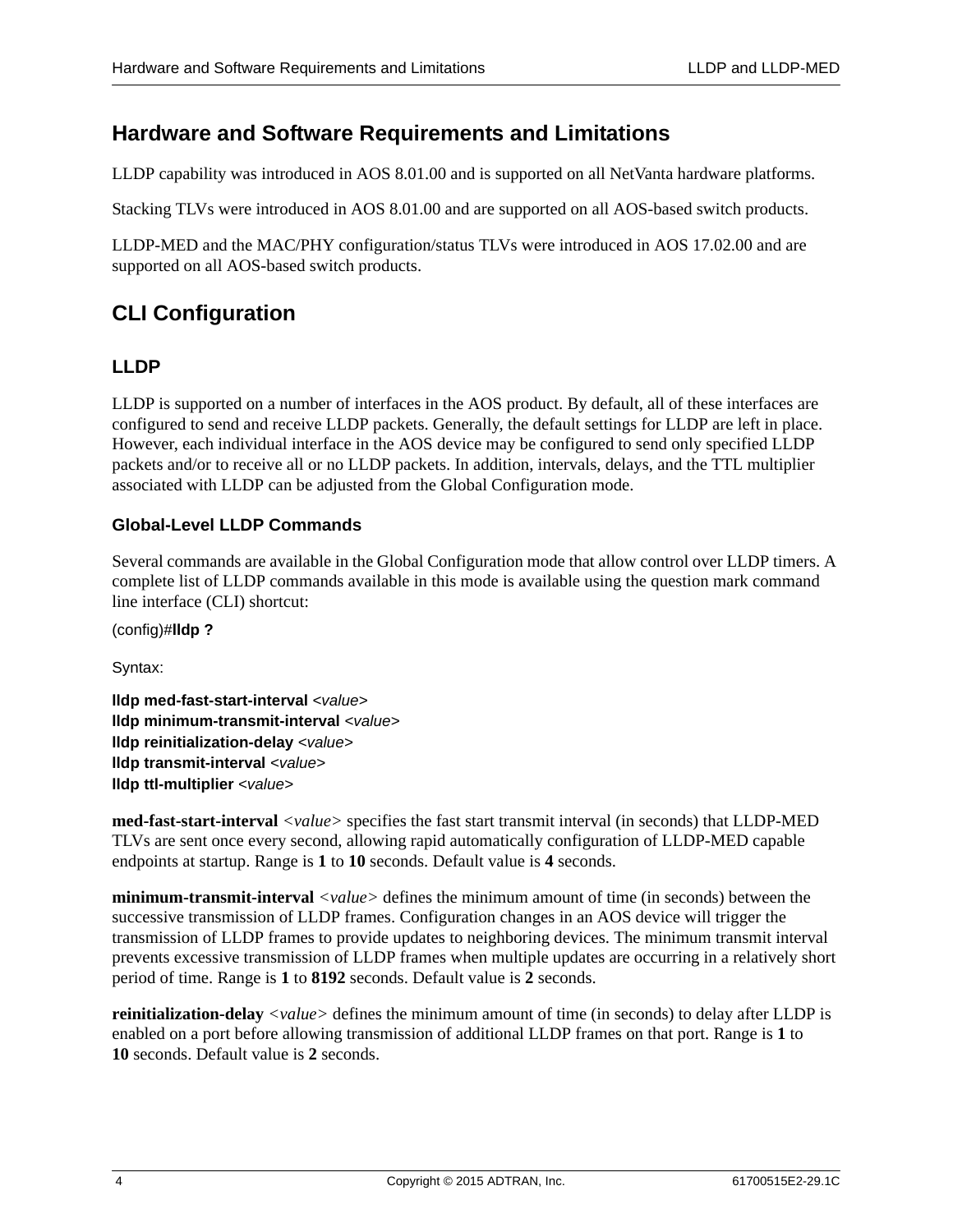# <span id="page-3-1"></span>**Hardware and Software Requirements and Limitations**

LLDP capability was introduced in AOS 8.01.00 and is supported on all NetVanta hardware platforms.

Stacking TLVs were introduced in AOS 8.01.00 and are supported on all AOS-based switch products.

LLDP-MED and the MAC/PHY configuration/status TLVs were introduced in AOS 17.02.00 and are supported on all AOS-based switch products.

# <span id="page-3-0"></span>**CLI Configuration**

### **LLDP**

LLDP is supported on a number of interfaces in the AOS product. By default, all of these interfaces are configured to send and receive LLDP packets. Generally, the default settings for LLDP are left in place. However, each individual interface in the AOS device may be configured to send only specified LLDP packets and/or to receive all or no LLDP packets. In addition, intervals, delays, and the TTL multiplier associated with LLDP can be adjusted from the Global Configuration mode.

### <span id="page-3-2"></span>**Global-Level LLDP Commands**

Several commands are available in the Global Configuration mode that allow control over LLDP timers. A complete list of LLDP commands available in this mode is available using the question mark command line interface (CLI) shortcut:

(config)#**lldp ?**

Syntax:

**lldp med-fast-start-interval** *<value>* **lldp minimum-transmit-interval** *<value>* **lldp reinitialization-delay** *<value>* **lldp transmit-interval** *<value>* **lldp ttl-multiplier** *<value>*

**med-fast-start-interval** *<value>* specifies the fast start transmit interval (in seconds) that LLDP-MED TLVs are sent once every second, allowing rapid automatically configuration of LLDP-MED capable endpoints at startup. Range is **1** to **10** seconds. Default value is **4** seconds.

**minimum-transmit-interval**  $\langle$ *value*  $\rangle$  defines the minimum amount of time (in seconds) between the successive transmission of LLDP frames. Configuration changes in an AOS device will trigger the transmission of LLDP frames to provide updates to neighboring devices. The minimum transmit interval prevents excessive transmission of LLDP frames when multiple updates are occurring in a relatively short period of time. Range is **1** to **8192** seconds. Default value is **2** seconds.

**reinitialization-delay** *<value>* defines the minimum amount of time (in seconds) to delay after LLDP is enabled on a port before allowing transmission of additional LLDP frames on that port. Range is **1** to **10** seconds. Default value is **2** seconds.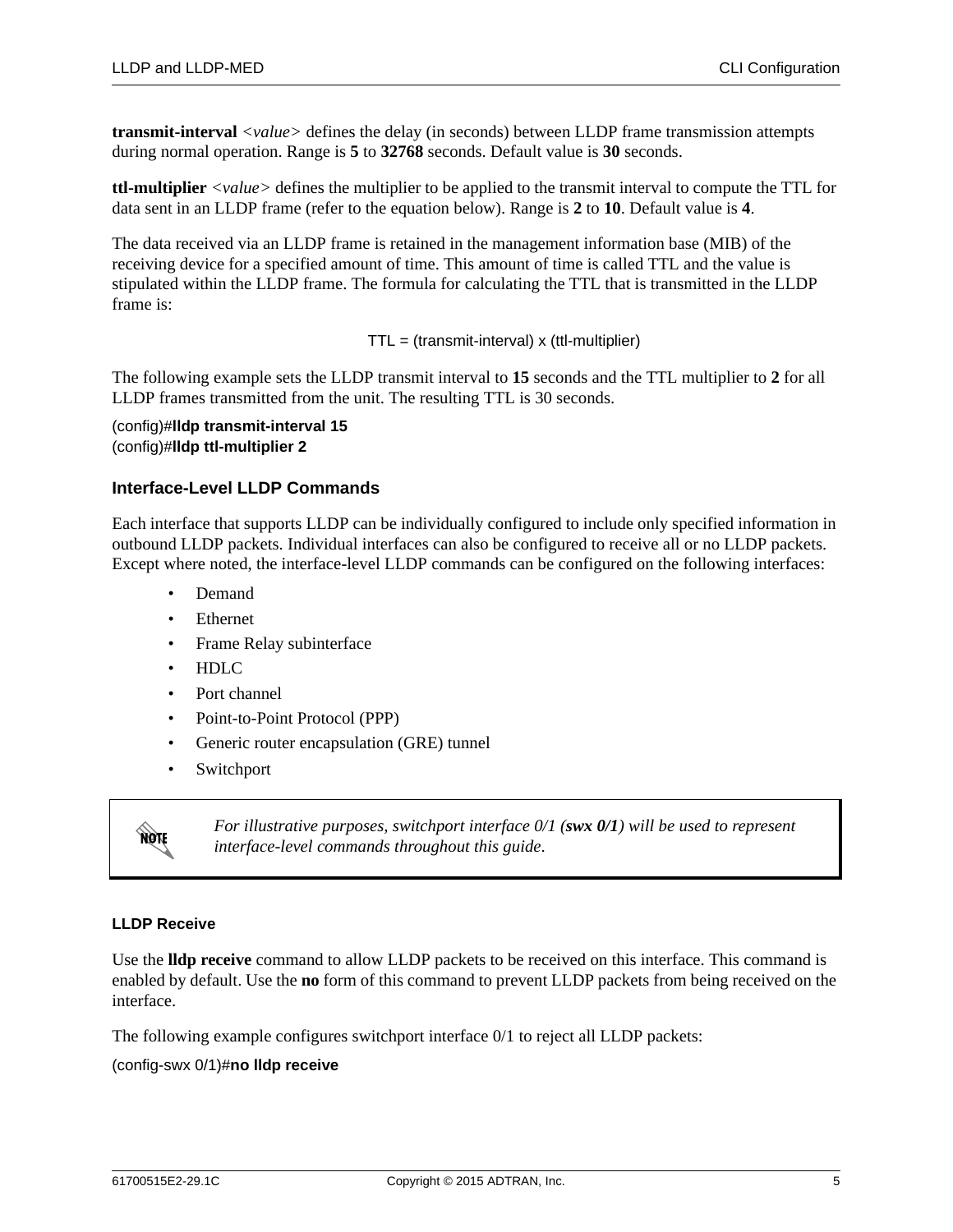**transmit-interval** *<value>* defines the delay (in seconds) between LLDP frame transmission attempts during normal operation. Range is **5** to **32768** seconds. Default value is **30** seconds.

<span id="page-4-1"></span>**ttl-multiplier** *<value>* defines the multiplier to be applied to the transmit interval to compute the TTL for data sent in an LLDP frame (refer to the equation below). Range is **2** to **10**. Default value is **4**.

The data received via an LLDP frame is retained in the management information base (MIB) of the receiving device for a specified amount of time. This amount of time is called TTL and the value is stipulated within the LLDP frame. The formula for calculating the TTL that is transmitted in the LLDP frame is:

TTL = (transmit-interval) x (ttl-multiplier)

The following example sets the LLDP transmit interval to **15** seconds and the TTL multiplier to **2** for all LLDP frames transmitted from the unit. The resulting TTL is 30 seconds.

(config)#**lldp transmit-interval 15** (config)#**lldp ttl-multiplier 2**

### <span id="page-4-0"></span>**Interface-Level LLDP Commands**

Each interface that supports LLDP can be individually configured to include only specified information in outbound LLDP packets. Individual interfaces can also be configured to receive all or no LLDP packets. Except where noted, the interface-level LLDP commands can be configured on the following interfaces:

- Demand
- Ethernet
- Frame Relay subinterface
- HDLC
- Port channel
- Point-to-Point Protocol (PPP)
- Generic router encapsulation (GRE) tunnel
- Switchport



*For illustrative purposes, switchport interface 0/1 (swx 0/1) will be used to represent interface-level commands throughout this guide*.

#### **LLDP Receive**

Use the **lldp receive** command to allow LLDP packets to be received on this interface. This command is enabled by default. Use the **no** form of this command to prevent LLDP packets from being received on the interface.

The following example configures switchport interface 0/1 to reject all LLDP packets:

(config-swx 0/1)#**no lldp receive**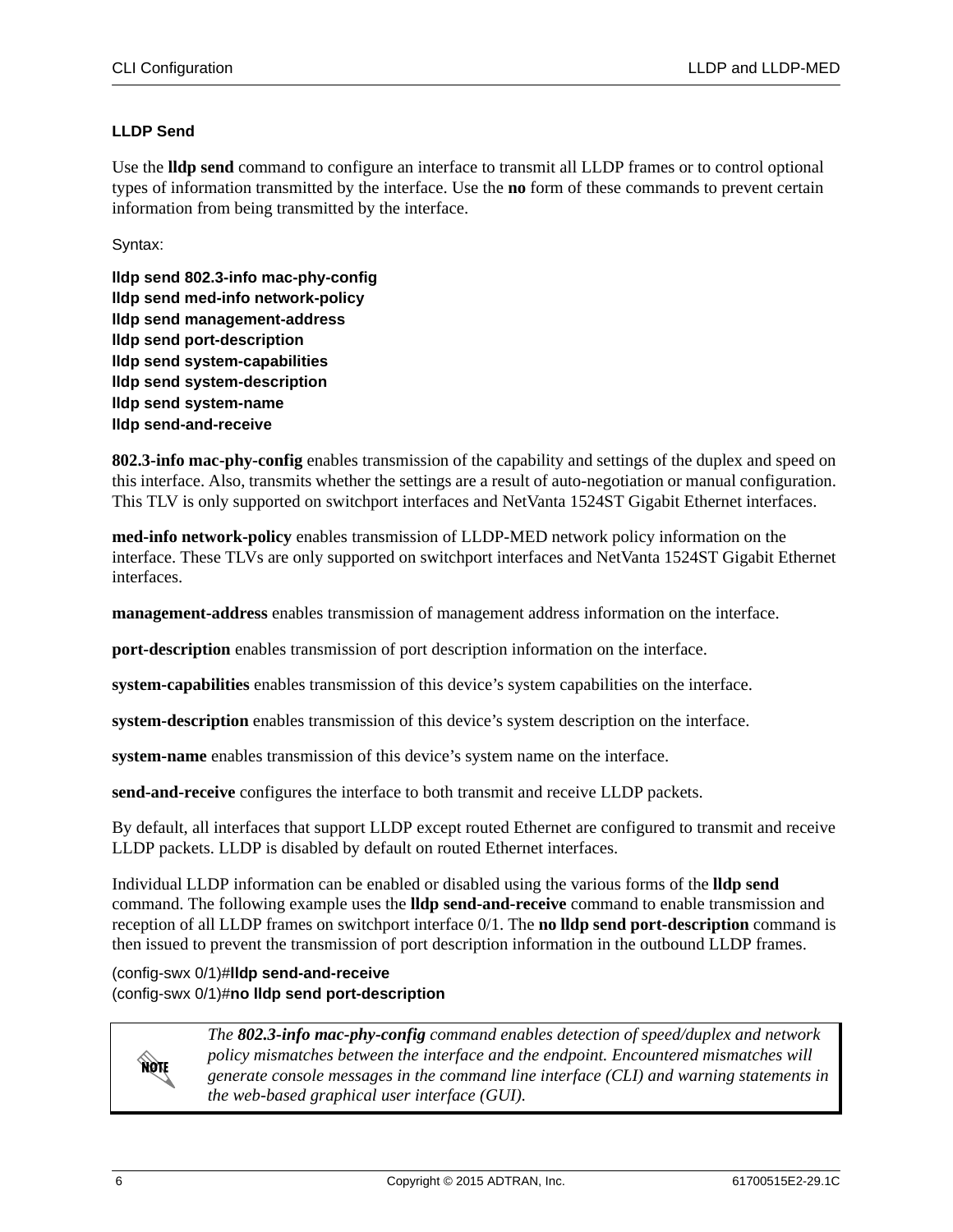### **LLDP Send**

Use the **lldp send** command to configure an interface to transmit all LLDP frames or to control optional types of information transmitted by the interface. Use the **no** form of these commands to prevent certain information from being transmitted by the interface.

Syntax:

**lldp send 802.3-info mac-phy-config lldp send med-info network-policy lldp send management-address lldp send port-description lldp send system-capabilities lldp send system-description lldp send system-name lldp send-and-receive**

**802.3-info mac-phy-config** enables transmission of the capability and settings of the duplex and speed on this interface. Also, transmits whether the settings are a result of auto-negotiation or manual configuration. This TLV is only supported on switchport interfaces and NetVanta 1524ST Gigabit Ethernet interfaces.

**med-info network-policy** enables transmission of LLDP-MED network policy information on the interface. These TLVs are only supported on switchport interfaces and NetVanta 1524ST Gigabit Ethernet interfaces.

**management-address** enables transmission of management address information on the interface.

**port-description** enables transmission of port description information on the interface.

**system-capabilities** enables transmission of this device's system capabilities on the interface.

**system-description** enables transmission of this device's system description on the interface.

**system-name** enables transmission of this device's system name on the interface.

**send-and-receive** configures the interface to both transmit and receive LLDP packets.

By default, all interfaces that support LLDP except routed Ethernet are configured to transmit and receive LLDP packets. LLDP is disabled by default on routed Ethernet interfaces.

Individual LLDP information can be enabled or disabled using the various forms of the **lldp send** command. The following example uses the **lldp send-and-receive** command to enable transmission and reception of all LLDP frames on switchport interface 0/1. The **no lldp send port-description** command is then issued to prevent the transmission of port description information in the outbound LLDP frames.

(config-swx 0/1)#**lldp send-and-receive** (config-swx 0/1)#**no lldp send port-description**



*The 802.3-info mac-phy-config command enables detection of speed/duplex and network policy mismatches between the interface and the endpoint. Encountered mismatches will generate console messages in the command line interface (CLI) and warning statements in the web-based graphical user interface (GUI).*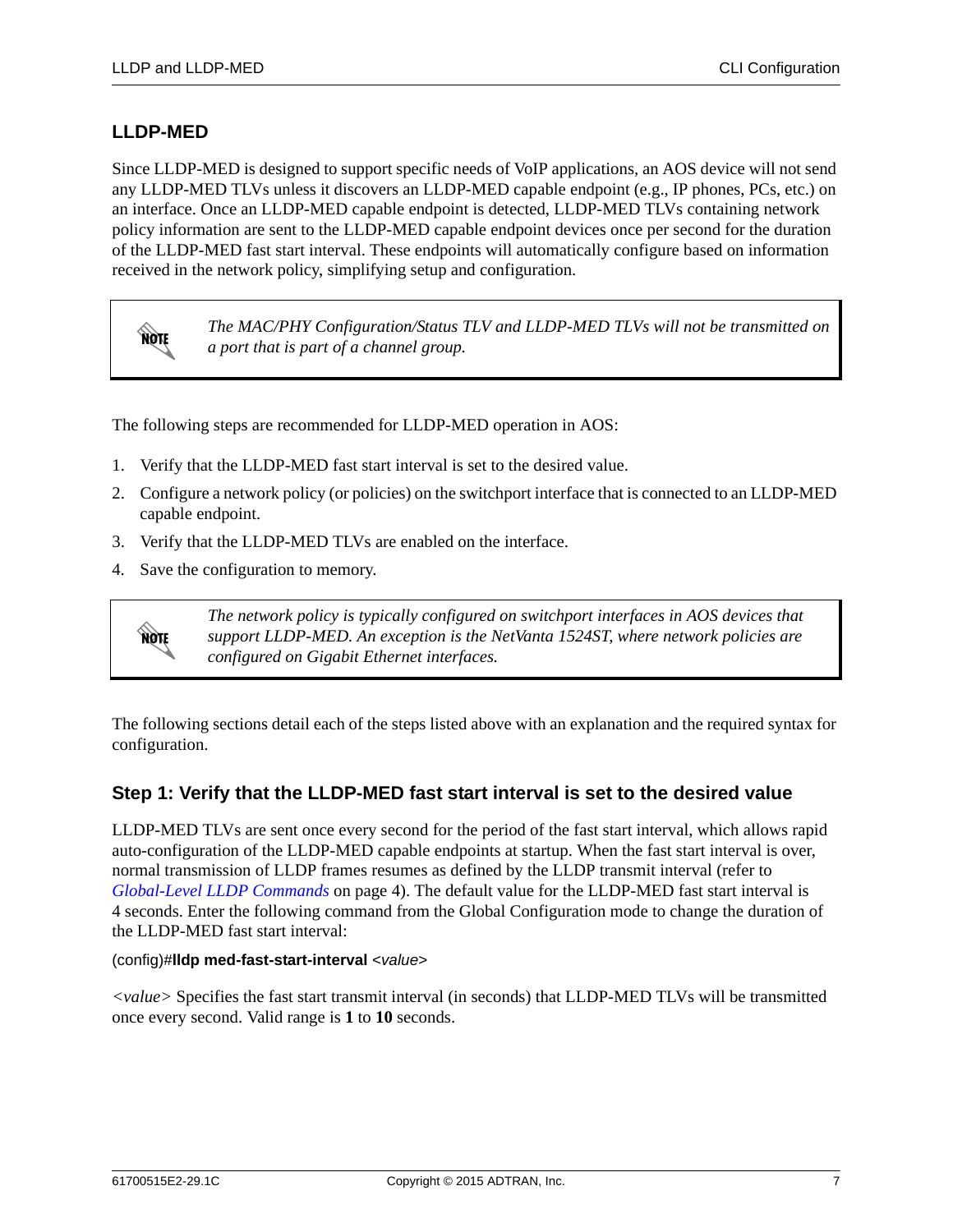# <span id="page-6-0"></span>**LLDP-MED**

Since LLDP-MED is designed to support specific needs of VoIP applications, an AOS device will not send any LLDP-MED TLVs unless it discovers an LLDP-MED capable endpoint (e.g., IP phones, PCs, etc.) on an interface. Once an LLDP-MED capable endpoint is detected, LLDP-MED TLVs containing network policy information are sent to the LLDP-MED capable endpoint devices once per second for the duration of the LLDP-MED fast start interval. These endpoints will automatically configure based on information received in the network policy, simplifying setup and configuration.

MOTE

*The MAC/PHY Configuration/Status TLV and LLDP-MED TLVs will not be transmitted on a port that is part of a channel group.*

The following steps are recommended for LLDP-MED operation in AOS:

- 1. Verify that the LLDP-MED fast start interval is set to the desired value.
- 2. Configure a network policy (or policies) on the switchport interface that is connected to an LLDP-MED capable endpoint.
- 3. Verify that the LLDP-MED TLVs are enabled on the interface.
- 4. Save the configuration to memory.



*The network policy is typically configured on switchport interfaces in AOS devices that support LLDP-MED. An exception is the NetVanta 1524ST, where network policies are configured on Gigabit Ethernet interfaces.*

The following sections detail each of the steps listed above with an explanation and the required syntax for configuration.

# **Step 1: Verify that the LLDP-MED fast start interval is set to the desired value**

LLDP-MED TLVs are sent once every second for the period of the fast start interval, which allows rapid auto-configuration of the LLDP-MED capable endpoints at startup. When the fast start interval is over, normal transmission of LLDP frames resumes as defined by the LLDP transmit interval (refer to *[Global-Level LLDP Commands](#page-3-2)* on page 4). The default value for the LLDP-MED fast start interval is 4 seconds. Enter the following command from the Global Configuration mode to change the duration of the LLDP-MED fast start interval:

### (config)#**lldp med-fast-start-interval** *<value>*

*<value>* Specifies the fast start transmit interval (in seconds) that LLDP-MED TLVs will be transmitted once every second. Valid range is **1** to **10** seconds.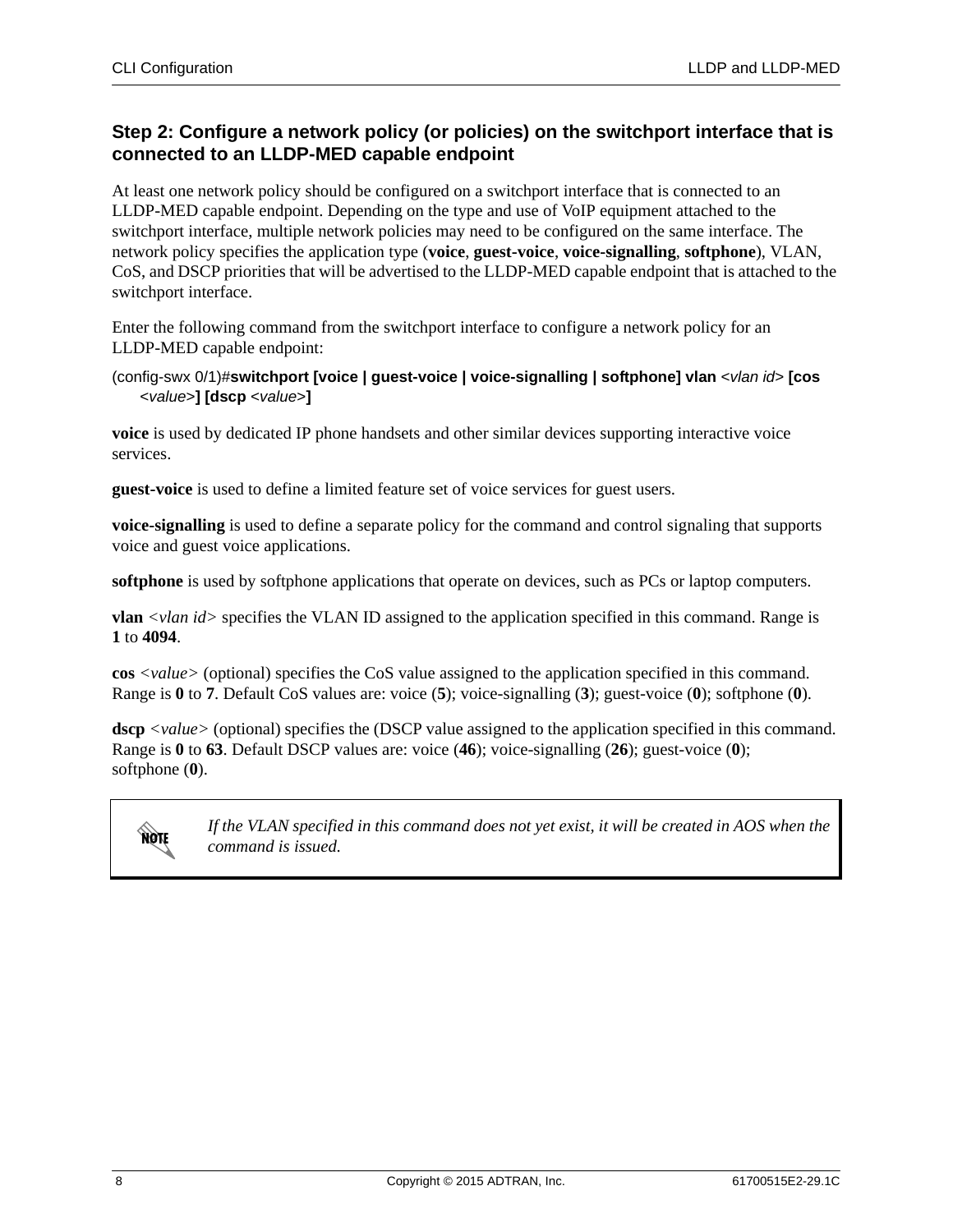# <span id="page-7-0"></span>**Step 2: Configure a network policy (or policies) on the switchport interface that is connected to an LLDP-MED capable endpoint**

At least one network policy should be configured on a switchport interface that is connected to an LLDP-MED capable endpoint. Depending on the type and use of VoIP equipment attached to the switchport interface, multiple network policies may need to be configured on the same interface. The network policy specifies the application type (**voice**, **guest-voice**, **voice-signalling**, **softphone**), VLAN, CoS, and DSCP priorities that will be advertised to the LLDP-MED capable endpoint that is attached to the switchport interface.

Enter the following command from the switchport interface to configure a network policy for an LLDP-MED capable endpoint:

### (config-swx 0/1)#**switchport [voice | guest-voice | voice-signalling | softphone] vlan** <*vlan id*> **[cos** <*value*>**] [dscp** <*value*>**]**

**voice** is used by dedicated IP phone handsets and other similar devices supporting interactive voice services.

**guest-voice** is used to define a limited feature set of voice services for guest users.

**voice-signalling** is used to define a separate policy for the command and control signaling that supports voice and guest voice applications.

**softphone** is used by softphone applications that operate on devices, such as PCs or laptop computers.

**vlan** *<vlan id>* specifies the VLAN ID assigned to the application specified in this command. Range is **1** to **4094**.

**cos** *<value>* (optional) specifies the CoS value assigned to the application specified in this command. Range is **0** to **7**. Default CoS values are: voice (**5**); voice-signalling (**3**); guest-voice (**0**); softphone (**0**).

**dscp** *<value>* (optional) specifies the (DSCP value assigned to the application specified in this command. Range is **0** to **63**. Default DSCP values are: voice (**46**); voice-signalling (**26**); guest-voice (**0**); softphone (**0**).



*If the VLAN specified in this command does not yet exist, it will be created in AOS when the command is issued.*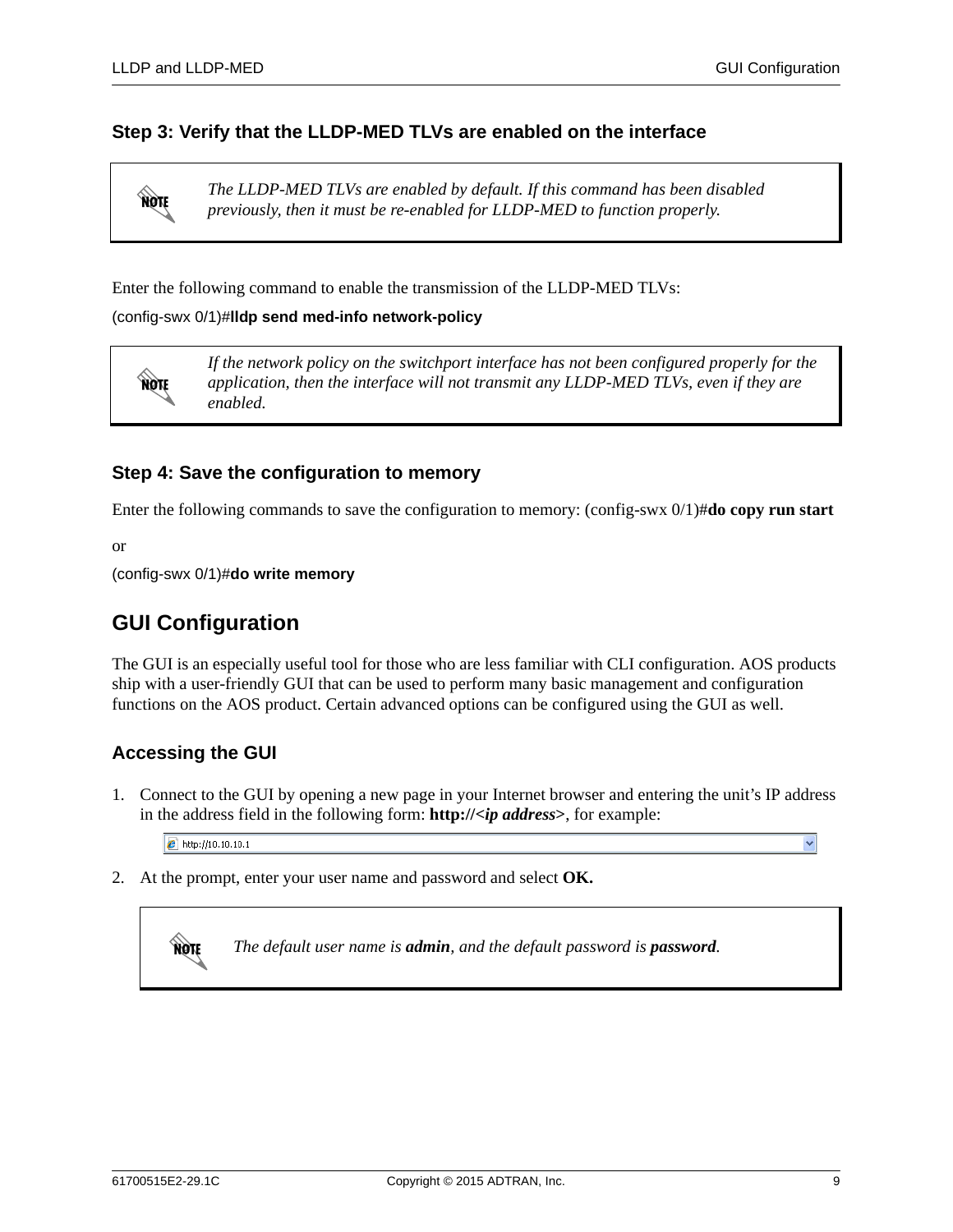### **Step 3: Verify that the LLDP-MED TLVs are enabled on the interface**

**AQTE** 

note

*The LLDP-MED TLVs are enabled by default. If this command has been disabled previously, then it must be re-enabled for LLDP-MED to function properly.* 

Enter the following command to enable the transmission of the LLDP-MED TLVs:

(config-swx 0/1)#**lldp send med-info network-policy**

*If the network policy on the switchport interface has not been configured properly for the application, then the interface will not transmit any LLDP-MED TLVs, even if they are enabled.* 

### **Step 4: Save the configuration to memory**

Enter the following commands to save the configuration to memory: (config-swx 0/1)#**do copy run start**

or

(config-swx 0/1)#**do write memory**

# <span id="page-8-0"></span>**GUI Configuration**

The GUI is an especially useful tool for those who are less familiar with CLI configuration. AOS products ship with a user-friendly GUI that can be used to perform many basic management and configuration functions on the AOS product. Certain advanced options can be configured using the GUI as well.

# **Accessing the GUI**

1. Connect to the GUI by opening a new page in your Internet browser and entering the unit's IP address in the address field in the following form: **http://<***ip address***>**, for example:

 $\epsilon$  http://10.10.10.1

2. At the prompt, enter your user name and password and select **OK.**



*The default user name is admin, and the default password is password.*

Ÿ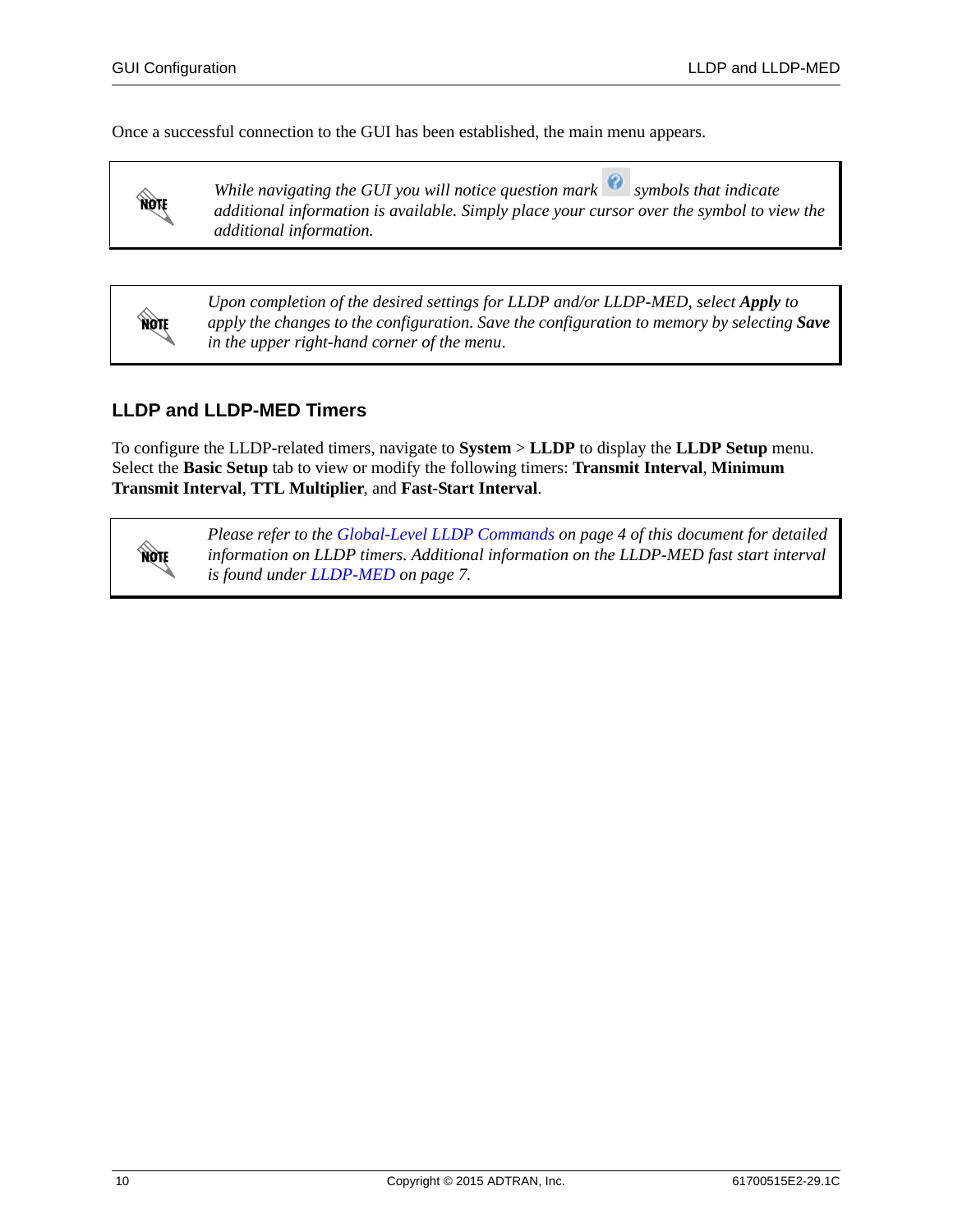**AQAE** 

**AQTE** 

Once a successful connection to the GUI has been established, the main menu appears.

*While navigating the GUI you will notice question mark symbols that indicate additional information is available. Simply place your cursor over the symbol to view the additional information.*

*Upon completion of the desired settings for LLDP and/or LLDP-MED, select Apply to apply the changes to the configuration. Save the configuration to memory by selecting Save in the upper right-hand corner of the menu*.

# **LLDP and LLDP-MED Timers**

To configure the LLDP-related timers, navigate to **System** > **LLDP** to display the **LLDP Setup** menu. Select the **Basic Setup** tab to view or modify the following timers: **Transmit Interval**, **Minimum Transmit Interval**, **TTL Multiplier**, and **Fast-Start Interval**.



*Please refer to the [Global-Level LLDP Commands on page 4](#page-3-2) of this document for detailed information on LLDP timers. Additional information on the LLDP-MED fast start interval is found under [LLDP-MED on page 7](#page-6-0).*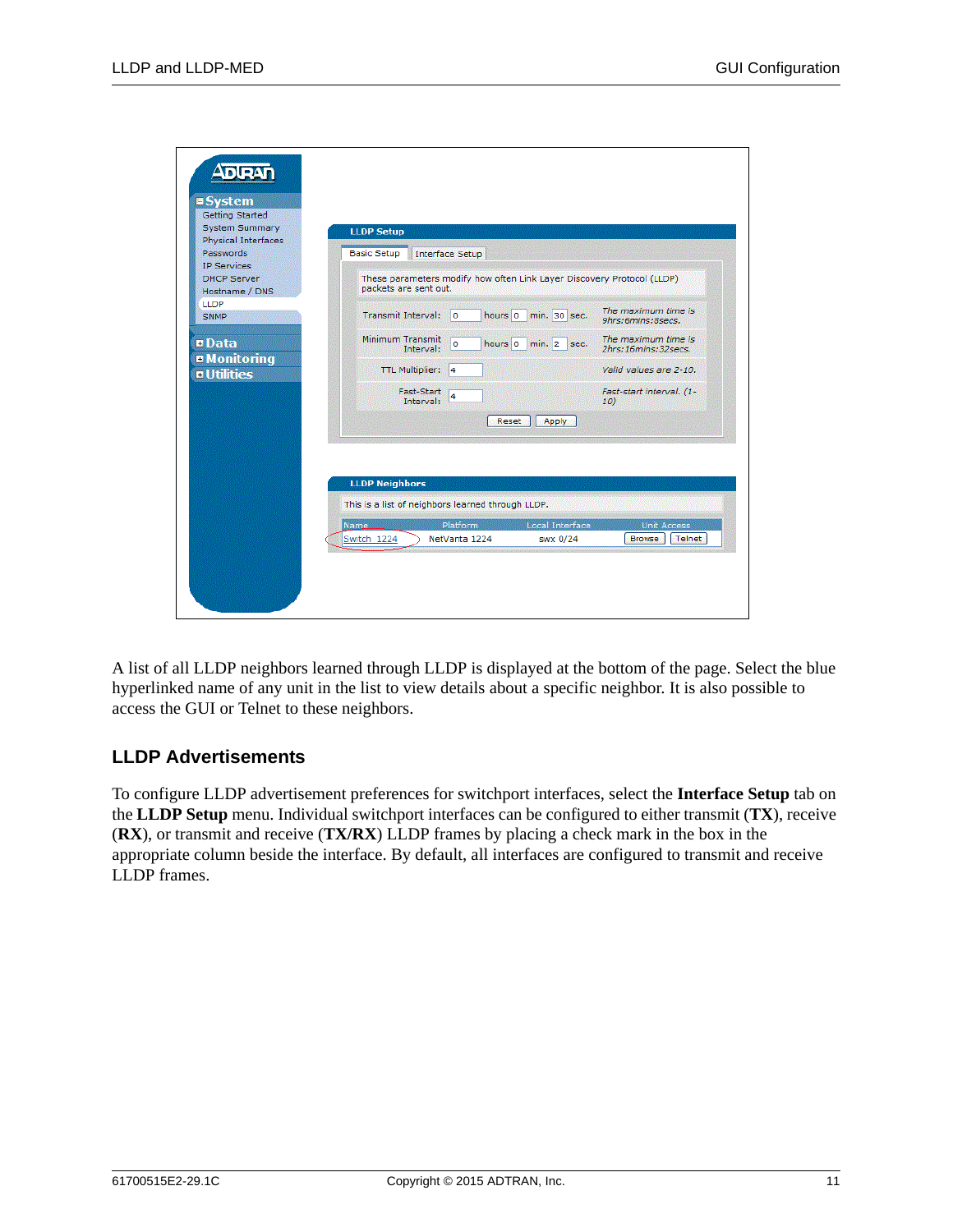| Getting Started<br><b>System Summary</b>                             | <b>LLDP Setup</b>                                                                               |                                            |
|----------------------------------------------------------------------|-------------------------------------------------------------------------------------------------|--------------------------------------------|
| <b>Physical Interfaces</b><br><b>Passwords</b><br><b>IP Services</b> | <b>Basic Setup</b><br><b>Interface Setup</b>                                                    |                                            |
| <b>DHCP Server</b><br>Hostname / DNS                                 | These parameters modify how often Link Layer Discovery Protocol (LLDP)<br>packets are sent out. |                                            |
| <b>LLDP</b><br>SNMP                                                  | <b>Transmit Interval:</b><br>hours 0<br>$\circ$<br>min. 30 sec.                                 | The maximum time is<br>9hrs:6mins:8secs.   |
| <b>¤Data</b>                                                         | Minimum Transmit<br>hours 0<br>o<br>$min. 2 sec.$<br>Interval:                                  | The maximum time is<br>2hrs:16mins:32secs. |
| <b>¤Monitoring</b><br><b>u</b> Utilities                             | <b>TTL Multiplier:</b><br>14                                                                    | Valid values are 2-10.                     |
|                                                                      | Fast-Start<br>4<br>Interval:                                                                    | Fast-start interval. (1-<br>10)            |
|                                                                      | Reset<br>Apply                                                                                  |                                            |
|                                                                      |                                                                                                 |                                            |
|                                                                      | <b>LLDP Neighbors</b>                                                                           |                                            |
|                                                                      | This is a list of neighbors learned through LLDP.                                               |                                            |
|                                                                      | Platform<br>Local Interface<br><b>Name</b>                                                      | <b>Unit Access</b>                         |
|                                                                      | Switch 1224<br>NetVanta 1224<br>swx 0/24                                                        | Telnet<br>Browse                           |

A list of all LLDP neighbors learned through LLDP is displayed at the bottom of the page. Select the blue hyperlinked name of any unit in the list to view details about a specific neighbor. It is also possible to access the GUI or Telnet to these neighbors.

# <span id="page-10-0"></span>**LLDP Advertisements**

To configure LLDP advertisement preferences for switchport interfaces, select the **Interface Setup** tab on the **LLDP Setup** menu. Individual switchport interfaces can be configured to either transmit (**TX**), receive (**RX**), or transmit and receive (**TX/RX**) LLDP frames by placing a check mark in the box in the appropriate column beside the interface. By default, all interfaces are configured to transmit and receive LLDP frames.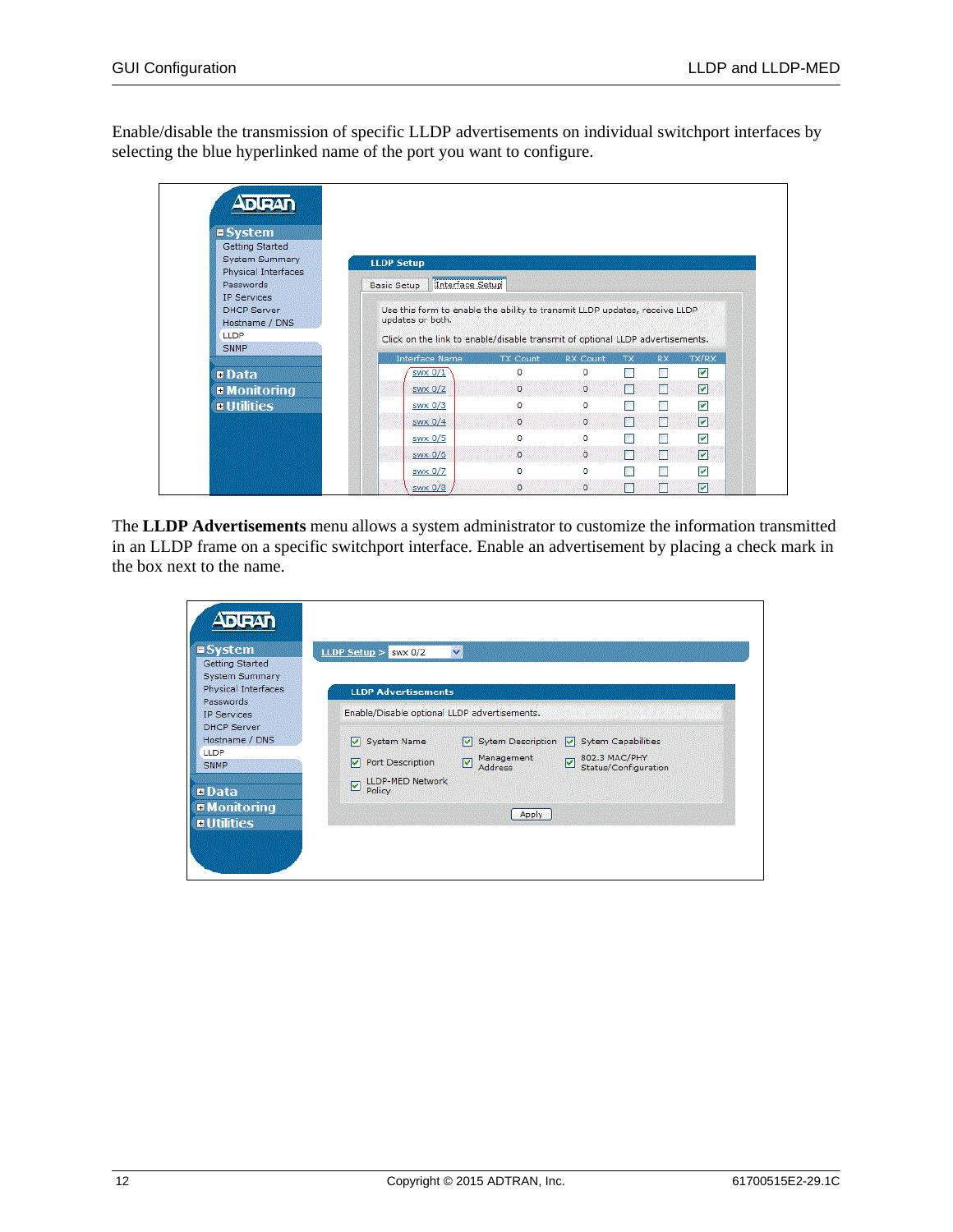Enable/disable the transmission of specific LLDP advertisements on individual switchport interfaces by selecting the blue hyperlinked name of the port you want to configure.

| $\blacksquare$ System                                           |                                                                                                        |                 |                 |           |           |                         |
|-----------------------------------------------------------------|--------------------------------------------------------------------------------------------------------|-----------------|-----------------|-----------|-----------|-------------------------|
| Getting Started<br><b>System Summary</b><br>Physical Interfaces | <b>LLDP Setup</b>                                                                                      |                 |                 |           |           |                         |
| Passwords                                                       | Interface Setup<br><b>Basic Setup</b>                                                                  |                 |                 |           |           |                         |
| <b>DHCP Server</b><br>Hostname / DNS<br><b>LLDP</b>             | Use this form to enable the ability to transmit LLDP updates, receive LLDP<br>updates or both.         |                 |                 |           |           |                         |
| SNMP                                                            | Click on the link to enable/disable transmit of optional LLDP advertisements.<br><b>Interface Name</b> | <b>TX Count</b> | <b>RX Count</b> | <b>TX</b> | <b>RX</b> | TX/RX                   |
| <b>¤Data</b>                                                    | swx 0/1                                                                                                | $\Omega$        | 0               | 鬬         | 醪         | $\overline{\mathbf{v}}$ |
| <b>E</b> Monitoring                                             | swx 0/2                                                                                                | $\circ$         | $\circ$         | $\Box$    | m         | 罓                       |
| <b>n</b> Utilities                                              | swx 0/3                                                                                                | $\Omega$        | o               | 241       | <b>A</b>  | $\overline{\mathbf{v}}$ |
|                                                                 | swx 0/4                                                                                                | $\circ$         | $\circ$         | $\Box$    | П         | ☑                       |
|                                                                 | swx 0/5                                                                                                | $\Omega$        | o               | 醫         | 膠         | $\blacktriangledown$    |
|                                                                 | swx 0/6                                                                                                | $\circ$         | $\mathbf{0}$    | T         | П         | ☑                       |
|                                                                 | swx 0/7                                                                                                | $\Omega$        | o               | 國         | 鄝         | $\blacktriangledown$    |

The **LLDP Advertisements** menu allows a system administrator to customize the information transmitted in an LLDP frame on a specific switchport interface. Enable an advertisement by placing a check mark in the box next to the name.

| $II$ System<br><b>Getting Started</b>        | $\checkmark$<br>LLDP Setup $>$ swx 0/2                                                |
|----------------------------------------------|---------------------------------------------------------------------------------------|
| <b>System Summary</b><br>Physical Interfaces | <b>LLDP Advertisements</b>                                                            |
| Passwords<br><b>IP Services</b>              | Enable/Disable optional LLDP advertisements.                                          |
| <b>DHCP Server</b><br>Hostname / DNS         | $\sqrt{ }$ Sytem Description $\sqrt{ }$ Sytem Capabilities<br><b>System Name</b><br>M |
| <b>LLDP</b><br>SNMP                          | 802.3 MAC/PHY<br>Management<br>☑<br>Port Description<br>M<br>Status/Configuration     |
| <b>¤Data</b>                                 | <b>LLDP-MED Network</b><br>☑<br>Policy                                                |
| <b>E</b> Monitoring                          | Apply                                                                                 |
| <b>¤Utilities</b>                            |                                                                                       |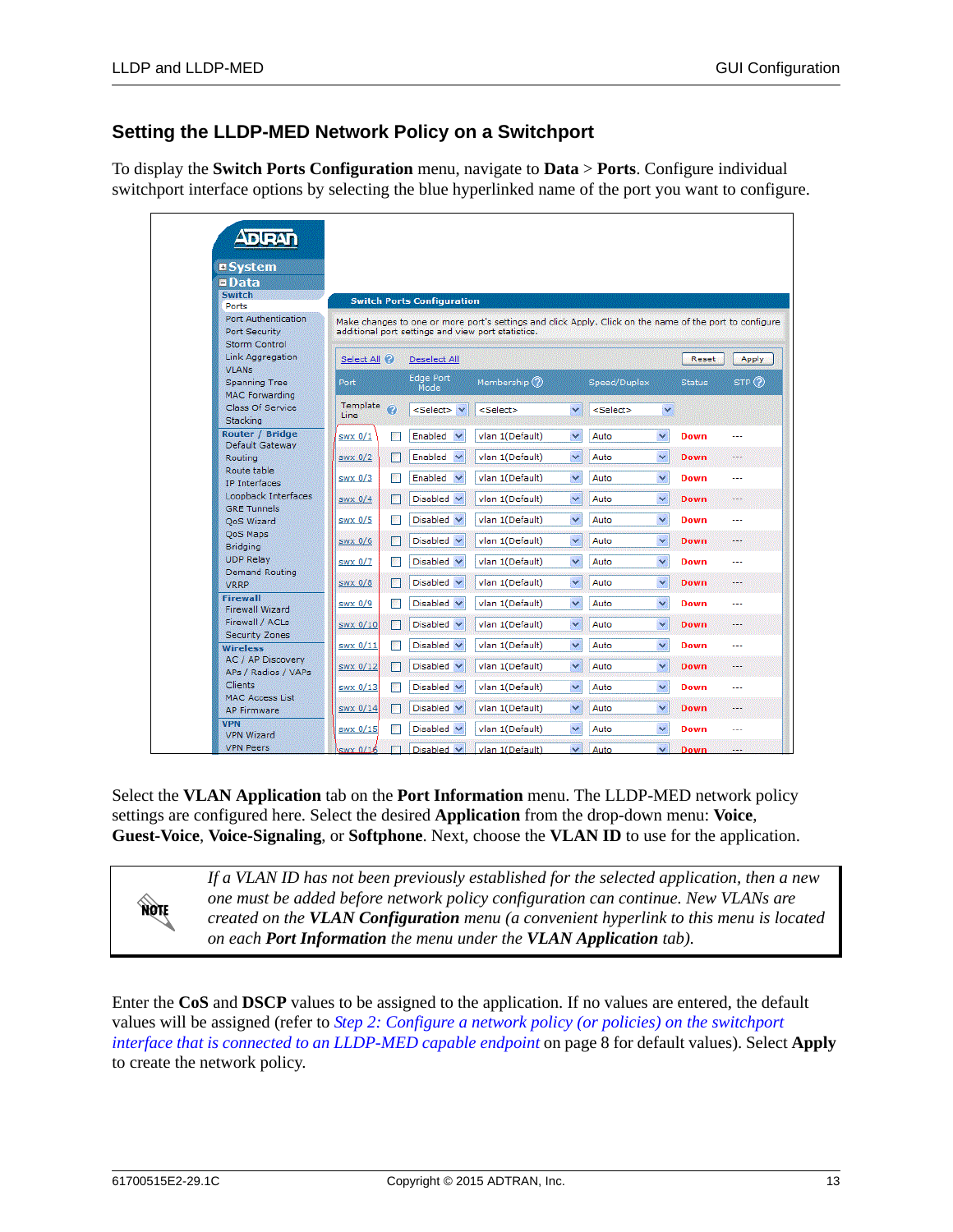# **Setting the LLDP-MED Network Policy on a Switchport**

To display the **Switch Ports Configuration** menu, navigate to **Data** > **Ports**. Configure individual switchport interface options by selecting the blue hyperlinked name of the port you want to configure.

| $\triangle$ of $\triangle$                                   |                         |                      |                                    |                                                                                                                                                               |              |                   |              |               |         |
|--------------------------------------------------------------|-------------------------|----------------------|------------------------------------|---------------------------------------------------------------------------------------------------------------------------------------------------------------|--------------|-------------------|--------------|---------------|---------|
| <b>¤System</b>                                               |                         |                      |                                    |                                                                                                                                                               |              |                   |              |               |         |
| $\blacksquare$ Data                                          |                         |                      |                                    |                                                                                                                                                               |              |                   |              |               |         |
| <b>Switch</b><br>Ports                                       |                         |                      | <b>Switch Ports Configuration</b>  |                                                                                                                                                               |              |                   |              |               |         |
| Port Authentication<br>Port Security<br><b>Storm Control</b> |                         |                      |                                    | Make changes to one or more port's settings and click Apply. Click on the name of the port to configure<br>additional port settings and view port statistics. |              |                   |              |               |         |
| Link Aggregation                                             | Select All <sup>2</sup> |                      | Deselect All                       |                                                                                                                                                               |              |                   |              | Reset         | Apply   |
| <b>VLANs</b><br>Spanning Tree<br><b>MAC Forwarding</b>       | Port                    |                      | <b>Edge Port</b><br>Mode           | Membership (?)                                                                                                                                                |              | Speed/Duplex      |              | <b>Status</b> | STP(?)  |
| Class Of Service<br>Stacking                                 | Template<br>Line        | $\ddot{\bm{\sigma}}$ | <select> v</select>                | <select></select>                                                                                                                                             | v            | <select></select> | ×            |               |         |
| <b>Router / Bridge</b><br>Default Gateway                    | $swx$ 0/1               |                      | Enabled<br>$\checkmark$            | vlan 1(Default)                                                                                                                                               | ×            | Auto              | $\checkmark$ | Down          |         |
| Routing                                                      | swx 0/2                 | 憠                    | Enabled<br>$\checkmark$            | vlan 1(Default)                                                                                                                                               | $\checkmark$ | Auto              | v            | Down          |         |
| Route table<br><b>IP</b> Interfaces                          | swx 0/3                 |                      | Enabled<br>$\overline{\mathbf{v}}$ | vlan 1(Default)                                                                                                                                               | v            | Auto              | v            | <b>Down</b>   | ---     |
| Loopback Interfaces<br><b>GRE Tunnels</b>                    | swx 0/4                 | ×                    | $Disable \vee$                     | vlan 1(Default)                                                                                                                                               | v            | Auto              | v            | <b>Down</b>   | ---     |
| QoS Wizard                                                   | swx 0/5                 | <b>BSC</b>           | Disable                            | vlan 1(Default)                                                                                                                                               | $\checkmark$ | Auto              | v            | <b>Down</b>   |         |
| QoS Maps<br><b>Bridging</b>                                  | swx 0/6                 | M                    | Disabled V                         | vlan 1(Default)                                                                                                                                               | $\checkmark$ | Auto              | v            | <b>Down</b>   | ---     |
| <b>UDP Relay</b>                                             | swx 0/7                 |                      | Disabled V                         | vlan 1(Default)                                                                                                                                               | ×            | Auto              | v            | <b>Down</b>   | ---     |
| Demand Routing<br>VRRP                                       | $swx$ 0/8               | 圞                    | Disabled $\vee$                    | vlan 1(Default)                                                                                                                                               | $\checkmark$ | Auto              | $\checkmark$ | <b>Down</b>   |         |
| <b>Firewall</b><br><b>Firewall Wizard</b>                    | swx 0/9                 | 藓                    | Disabled v                         | vlan 1(Default)                                                                                                                                               | ×            | Auto              | $\ddotmark$  | Down          |         |
| Firewall / ACLs                                              | <b>SWX 0/10</b>         | <b>PO</b>            | Disabled V                         | vlan 1(Default)                                                                                                                                               | v            | Auto              | v            | <b>Down</b>   |         |
| <b>Security Zones</b><br><b>Wireless</b>                     | swx 0/11                |                      | Disabled $\vee$                    | vlan 1(Default)                                                                                                                                               | v            | Auto              | v            | <b>Down</b>   | ---     |
| AC / AP Discovery<br>APs / Radios / VAPs                     | swx 0/12                | <b>Part</b>          | Disable                            | vlan 1(Default)                                                                                                                                               | $\checkmark$ | Auto              | v            | <b>Down</b>   | $- - -$ |
| Clients                                                      | swx 0/13                |                      | Disabled v                         | vlan 1(Default)                                                                                                                                               | v            | Auto              | v            | <b>Down</b>   | ---     |
| <b>MAC Access List</b><br><b>AP Firmware</b>                 | swx 0/14                |                      | Disabled $\vee$                    | vlan 1(Default)                                                                                                                                               | ×            | Auto              | v            | <b>Down</b>   | ---     |
| <b>VPN</b><br><b>VPN Wizard</b>                              | swx 0/15                |                      | Disabled v                         | vlan 1(Default)                                                                                                                                               | $\checkmark$ | Auto              | v            | <b>Down</b>   | ---     |
| <b>VPN Peers</b>                                             | $swx$ 0/14              |                      | Disabled V                         | vlan 1(Default)                                                                                                                                               | $\mathbf{v}$ | Auto              | $\mathbf{v}$ | Down          |         |

Select the **VLAN Application** tab on the **Port Information** menu. The LLDP-MED network policy settings are configured here. Select the desired **Application** from the drop-down menu: **Voice**, **Guest-Voice**, **Voice-Signaling**, or **Softphone**. Next, choose the **VLAN ID** to use for the application.



*If a VLAN ID has not been previously established for the selected application, then a new one must be added before network policy configuration can continue. New VLANs are created on the VLAN Configuration menu (a convenient hyperlink to this menu is located on each Port Information the menu under the VLAN Application tab).*

Enter the **CoS** and **DSCP** values to be assigned to the application. If no values are entered, the default values will be assigned (refer to *[Step 2: Configure a network policy \(or policies\) on the switchport](#page-7-0)  interface that is connected to an LLDP-MED capable endpoint* on page 8 for default values). Select **Apply** to create the network policy.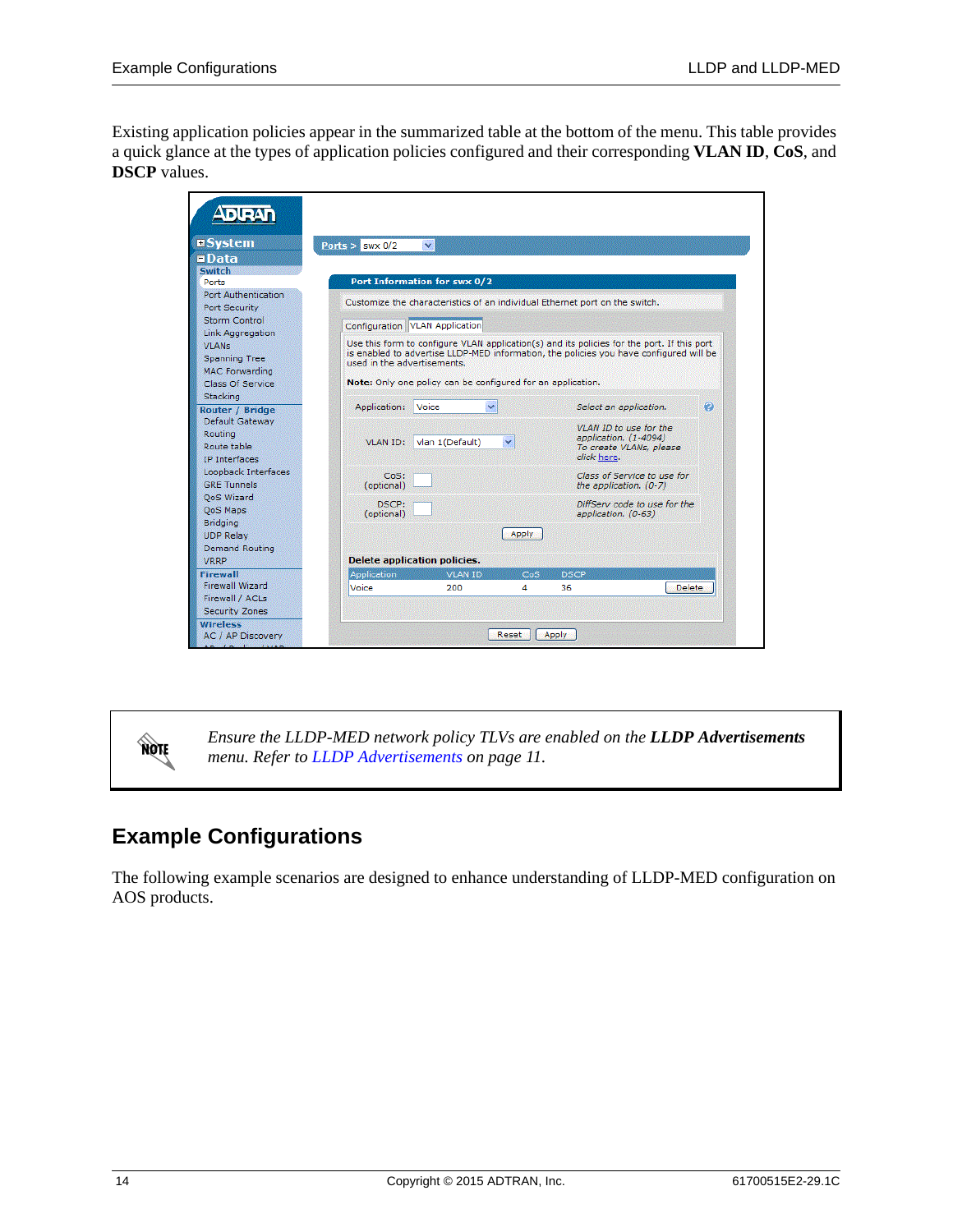Existing application policies appear in the summarized table at the bottom of the menu. This table provides a quick glance at the types of application policies configured and their corresponding **VLAN ID**, **CoS**, and **DSCP** values.

| Ports $>$ swx 0/2 | v                                            |                                                                                                                                                                                           |                               |                                                                                                                                                                                                                                                                                                                                                                                                                                                                                    |
|-------------------|----------------------------------------------|-------------------------------------------------------------------------------------------------------------------------------------------------------------------------------------------|-------------------------------|------------------------------------------------------------------------------------------------------------------------------------------------------------------------------------------------------------------------------------------------------------------------------------------------------------------------------------------------------------------------------------------------------------------------------------------------------------------------------------|
|                   |                                              |                                                                                                                                                                                           |                               |                                                                                                                                                                                                                                                                                                                                                                                                                                                                                    |
|                   |                                              |                                                                                                                                                                                           |                               |                                                                                                                                                                                                                                                                                                                                                                                                                                                                                    |
|                   |                                              |                                                                                                                                                                                           |                               |                                                                                                                                                                                                                                                                                                                                                                                                                                                                                    |
|                   |                                              |                                                                                                                                                                                           |                               |                                                                                                                                                                                                                                                                                                                                                                                                                                                                                    |
|                   |                                              |                                                                                                                                                                                           |                               |                                                                                                                                                                                                                                                                                                                                                                                                                                                                                    |
|                   |                                              |                                                                                                                                                                                           |                               |                                                                                                                                                                                                                                                                                                                                                                                                                                                                                    |
|                   |                                              |                                                                                                                                                                                           |                               |                                                                                                                                                                                                                                                                                                                                                                                                                                                                                    |
|                   |                                              |                                                                                                                                                                                           |                               |                                                                                                                                                                                                                                                                                                                                                                                                                                                                                    |
|                   |                                              |                                                                                                                                                                                           |                               |                                                                                                                                                                                                                                                                                                                                                                                                                                                                                    |
|                   |                                              |                                                                                                                                                                                           |                               |                                                                                                                                                                                                                                                                                                                                                                                                                                                                                    |
|                   |                                              |                                                                                                                                                                                           |                               |                                                                                                                                                                                                                                                                                                                                                                                                                                                                                    |
| Application:      |                                              |                                                                                                                                                                                           | Select an application.        | Ω                                                                                                                                                                                                                                                                                                                                                                                                                                                                                  |
|                   |                                              |                                                                                                                                                                                           |                               |                                                                                                                                                                                                                                                                                                                                                                                                                                                                                    |
|                   |                                              |                                                                                                                                                                                           |                               |                                                                                                                                                                                                                                                                                                                                                                                                                                                                                    |
| <b>VLAN ID:</b>   |                                              | v                                                                                                                                                                                         | To create VLANs, please       |                                                                                                                                                                                                                                                                                                                                                                                                                                                                                    |
|                   |                                              |                                                                                                                                                                                           | click here.                   |                                                                                                                                                                                                                                                                                                                                                                                                                                                                                    |
|                   |                                              |                                                                                                                                                                                           |                               |                                                                                                                                                                                                                                                                                                                                                                                                                                                                                    |
| (optional)        |                                              |                                                                                                                                                                                           | the application. $(0-7)$      |                                                                                                                                                                                                                                                                                                                                                                                                                                                                                    |
|                   |                                              |                                                                                                                                                                                           |                               |                                                                                                                                                                                                                                                                                                                                                                                                                                                                                    |
| (optional)        |                                              |                                                                                                                                                                                           | application. (0-63)           |                                                                                                                                                                                                                                                                                                                                                                                                                                                                                    |
|                   |                                              |                                                                                                                                                                                           |                               |                                                                                                                                                                                                                                                                                                                                                                                                                                                                                    |
|                   |                                              |                                                                                                                                                                                           |                               |                                                                                                                                                                                                                                                                                                                                                                                                                                                                                    |
|                   |                                              |                                                                                                                                                                                           |                               |                                                                                                                                                                                                                                                                                                                                                                                                                                                                                    |
|                   |                                              |                                                                                                                                                                                           |                               |                                                                                                                                                                                                                                                                                                                                                                                                                                                                                    |
|                   |                                              |                                                                                                                                                                                           |                               |                                                                                                                                                                                                                                                                                                                                                                                                                                                                                    |
|                   |                                              |                                                                                                                                                                                           |                               | Delete                                                                                                                                                                                                                                                                                                                                                                                                                                                                             |
|                   |                                              |                                                                                                                                                                                           |                               |                                                                                                                                                                                                                                                                                                                                                                                                                                                                                    |
|                   |                                              |                                                                                                                                                                                           |                               |                                                                                                                                                                                                                                                                                                                                                                                                                                                                                    |
|                   |                                              | Reset                                                                                                                                                                                     |                               |                                                                                                                                                                                                                                                                                                                                                                                                                                                                                    |
|                   | CoS:<br>DSCP:<br><b>Application</b><br>Voice | Port Information for swx 0/2<br>Configuration VLAN Application<br>used in the advertisements.<br>Voice<br>vlan 1(Default)<br><b>Delete application policies.</b><br><b>VLAN ID</b><br>200 | v<br><b>Apply</b><br>CoS<br>4 | Customize the characteristics of an individual Ethernet port on the switch.<br>Use this form to configure VLAN application(s) and its policies for the port. If this port<br>is enabled to advertise LLDP-MED information, the policies you have configured will be<br>Note: Only one policy can be configured for an application.<br>VLAN ID to use for the<br>application. (1-4094)<br>Class of Service to use for<br>DiffServ code to use for the<br><b>DSCP</b><br>36<br>Apply |

NOTE

*Ensure the LLDP-MED network policy TLVs are enabled on the LLDP Advertisements menu. Refer to [LLDP Advertisements on page 11](#page-10-0).*

# <span id="page-13-0"></span>**Example Configurations**

The following example scenarios are designed to enhance understanding of LLDP-MED configuration on AOS products.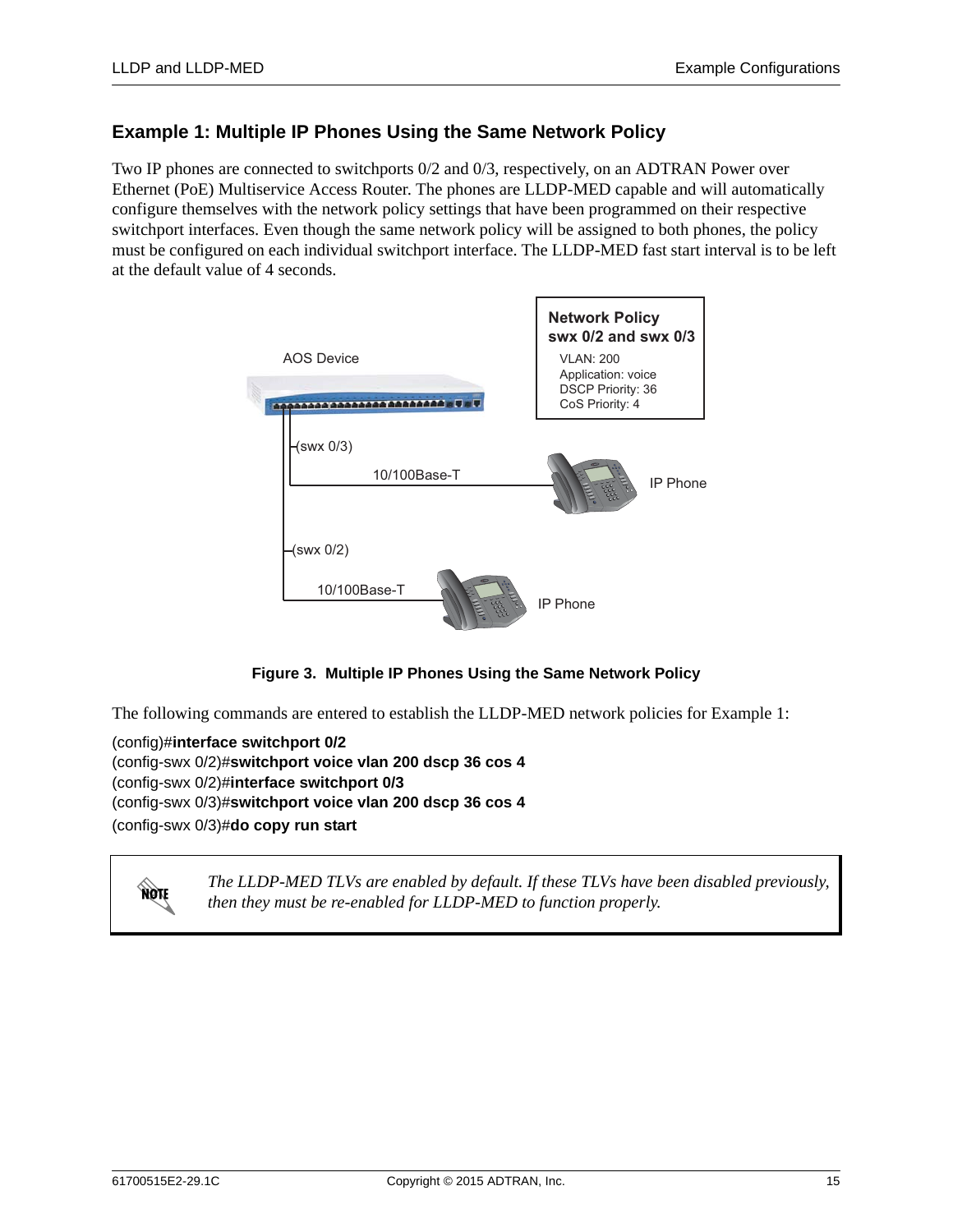# **Example 1: Multiple IP Phones Using the Same Network Policy**

Two IP phones are connected to switchports 0/2 and 0/3, respectively, on an ADTRAN Power over Ethernet (PoE) Multiservice Access Router. The phones are LLDP-MED capable and will automatically configure themselves with the network policy settings that have been programmed on their respective switchport interfaces. Even though the same network policy will be assigned to both phones, the policy must be configured on each individual switchport interface. The LLDP-MED fast start interval is to be left at the default value of 4 seconds.



**Figure 3. Multiple IP Phones Using the Same Network Policy**

The following commands are entered to establish the LLDP-MED network policies for Example 1:

(config)#**interface switchport 0/2** (config-swx 0/2)#**switchport voice vlan 200 dscp 36 cos 4** (config-swx 0/2)#**interface switchport 0/3** (config-swx 0/3)#**switchport voice vlan 200 dscp 36 cos 4** (config-swx 0/3)#**do copy run start**



*The LLDP-MED TLVs are enabled by default. If these TLVs have been disabled previously, then they must be re-enabled for LLDP-MED to function properly.*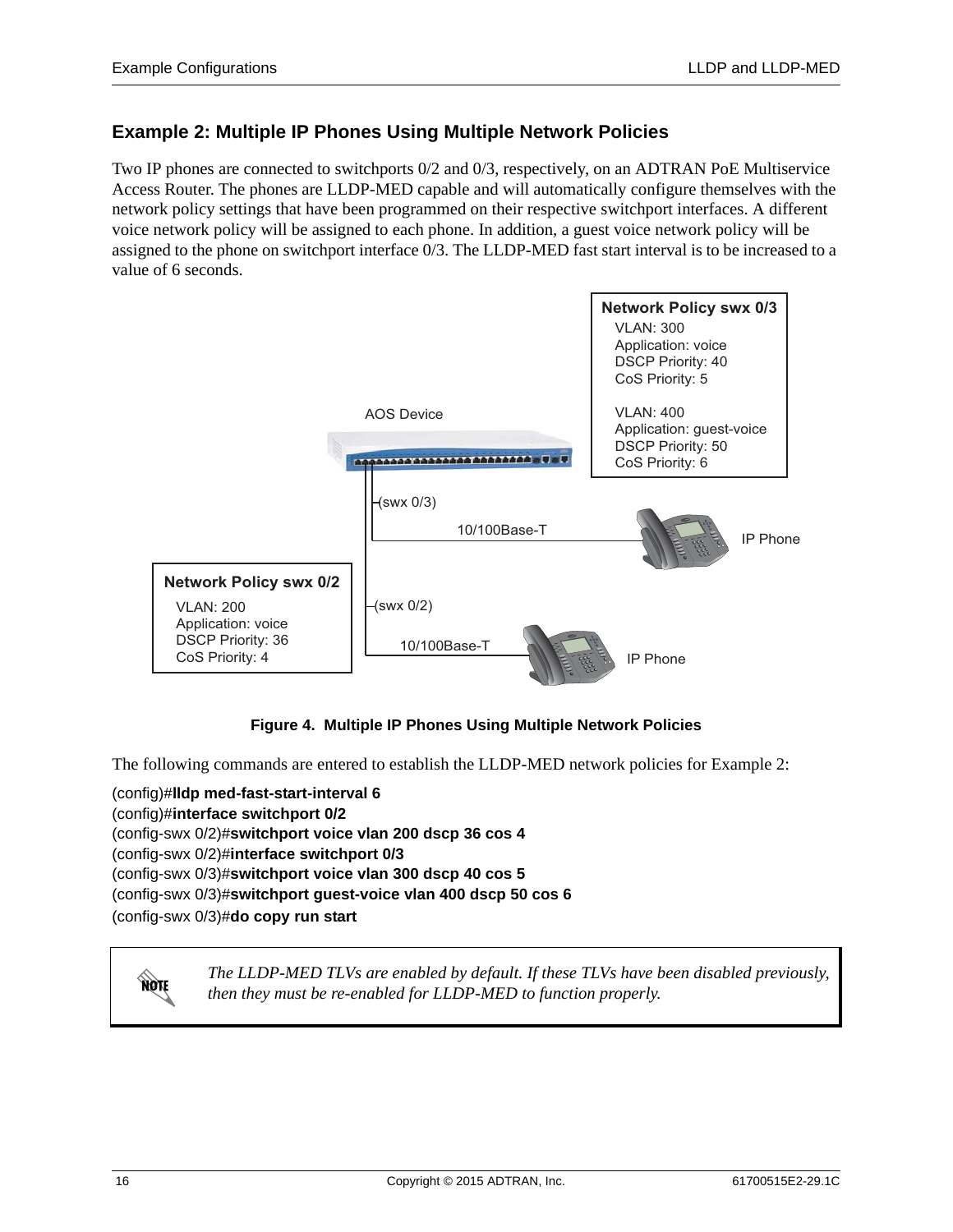# **Example 2: Multiple IP Phones Using Multiple Network Policies**

Two IP phones are connected to switchports 0/2 and 0/3, respectively, on an ADTRAN PoE Multiservice Access Router. The phones are LLDP-MED capable and will automatically configure themselves with the network policy settings that have been programmed on their respective switchport interfaces. A different voice network policy will be assigned to each phone. In addition, a guest voice network policy will be assigned to the phone on switchport interface 0/3. The LLDP-MED fast start interval is to be increased to a value of 6 seconds.



### **Figure 4. Multiple IP Phones Using Multiple Network Policies**

The following commands are entered to establish the LLDP-MED network policies for Example 2:

(config)#**lldp med-fast-start-interval 6** (config)#**interface switchport 0/2** (config-swx 0/2)#**switchport voice vlan 200 dscp 36 cos 4** (config-swx 0/2)#**interface switchport 0/3** (config-swx 0/3)#**switchport voice vlan 300 dscp 40 cos 5** (config-swx 0/3)#**switchport guest-voice vlan 400 dscp 50 cos 6** (config-swx 0/3)#**do copy run start**



*The LLDP-MED TLVs are enabled by default. If these TLVs have been disabled previously, then they must be re-enabled for LLDP-MED to function properly.*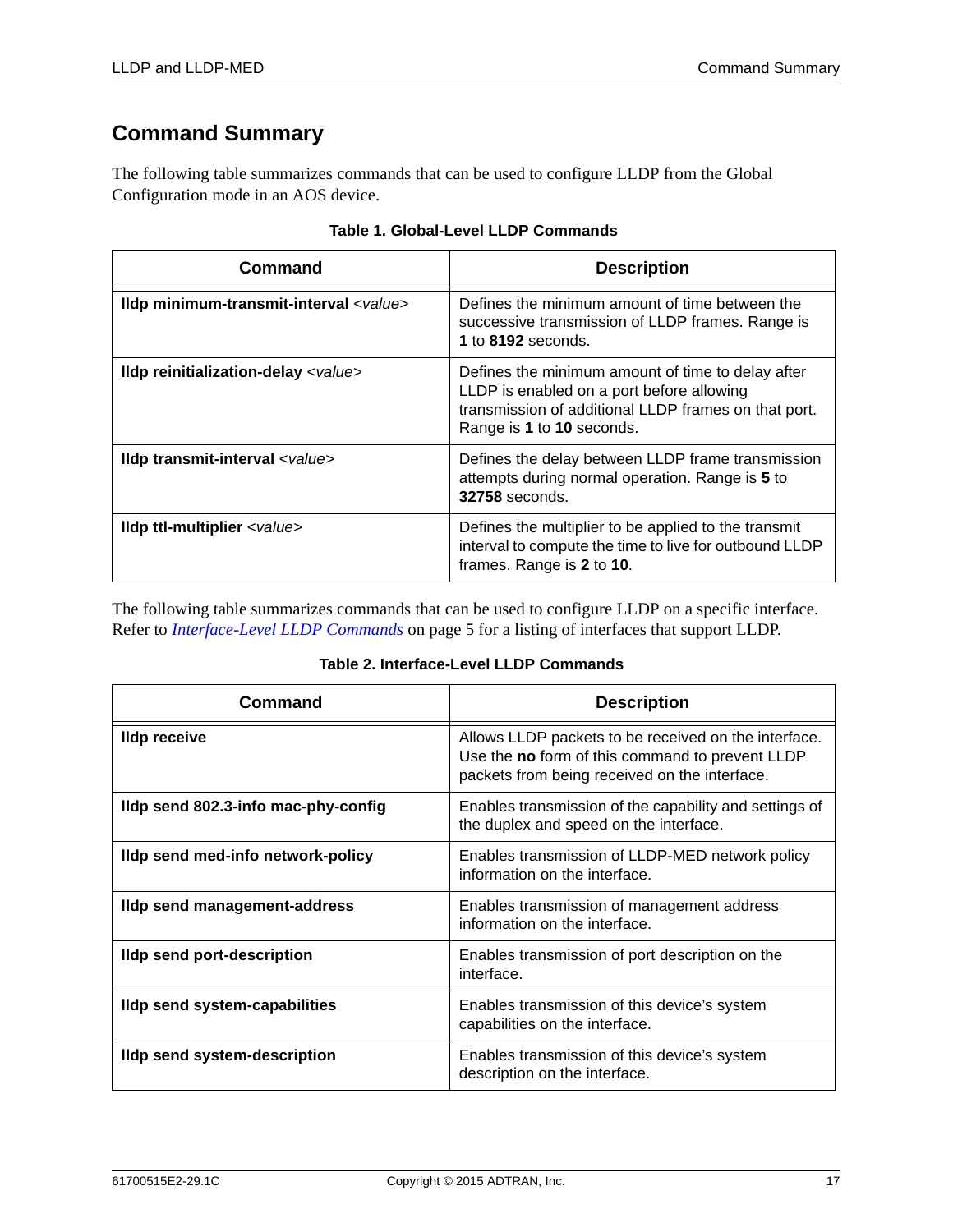# <span id="page-16-0"></span>**Command Summary**

The following table summarizes commands that can be used to configure LLDP from the Global Configuration mode in an AOS device.

| Command                                        | <b>Description</b>                                                                                                                                                                  |
|------------------------------------------------|-------------------------------------------------------------------------------------------------------------------------------------------------------------------------------------|
| Ildp minimum-transmit-interval <value></value> | Defines the minimum amount of time between the<br>successive transmission of LLDP frames. Range is<br>1 to 8192 seconds.                                                            |
| Ildp reinitialization-delay <value></value>    | Defines the minimum amount of time to delay after<br>LLDP is enabled on a port before allowing<br>transmission of additional LLDP frames on that port.<br>Range is 1 to 10 seconds. |
| Ildp transmit-interval <value></value>         | Defines the delay between LLDP frame transmission<br>attempts during normal operation. Range is 5 to<br><b>32758</b> seconds.                                                       |
| Ildp ttl-multiplier <value></value>            | Defines the multiplier to be applied to the transmit<br>interval to compute the time to live for outbound LLDP<br>frames. Range is 2 to 10.                                         |

|  |  |  | Table 1. Global-Level LLDP Commands |
|--|--|--|-------------------------------------|
|--|--|--|-------------------------------------|

The following table summarizes commands that can be used to configure LLDP on a specific interface. Refer to *[Interface-Level LLDP Commands](#page-4-0)* on page 5 for a listing of interfaces that support LLDP.

### **Table 2. Interface-Level LLDP Commands**

| Command                              | <b>Description</b>                                                                                                                                       |
|--------------------------------------|----------------------------------------------------------------------------------------------------------------------------------------------------------|
| <b>Ildp receive</b>                  | Allows LLDP packets to be received on the interface.<br>Use the no form of this command to prevent LLDP<br>packets from being received on the interface. |
| Ildp send 802.3-info mac-phy-config  | Enables transmission of the capability and settings of<br>the duplex and speed on the interface.                                                         |
| Ildp send med-info network-policy    | Enables transmission of LLDP-MED network policy<br>information on the interface.                                                                         |
| Ildp send management-address         | Enables transmission of management address<br>information on the interface.                                                                              |
| <b>Ildp send port-description</b>    | Enables transmission of port description on the<br>interface.                                                                                            |
| <b>Ildp send system-capabilities</b> | Enables transmission of this device's system<br>capabilities on the interface.                                                                           |
| <b>Ildp send system-description</b>  | Enables transmission of this device's system<br>description on the interface.                                                                            |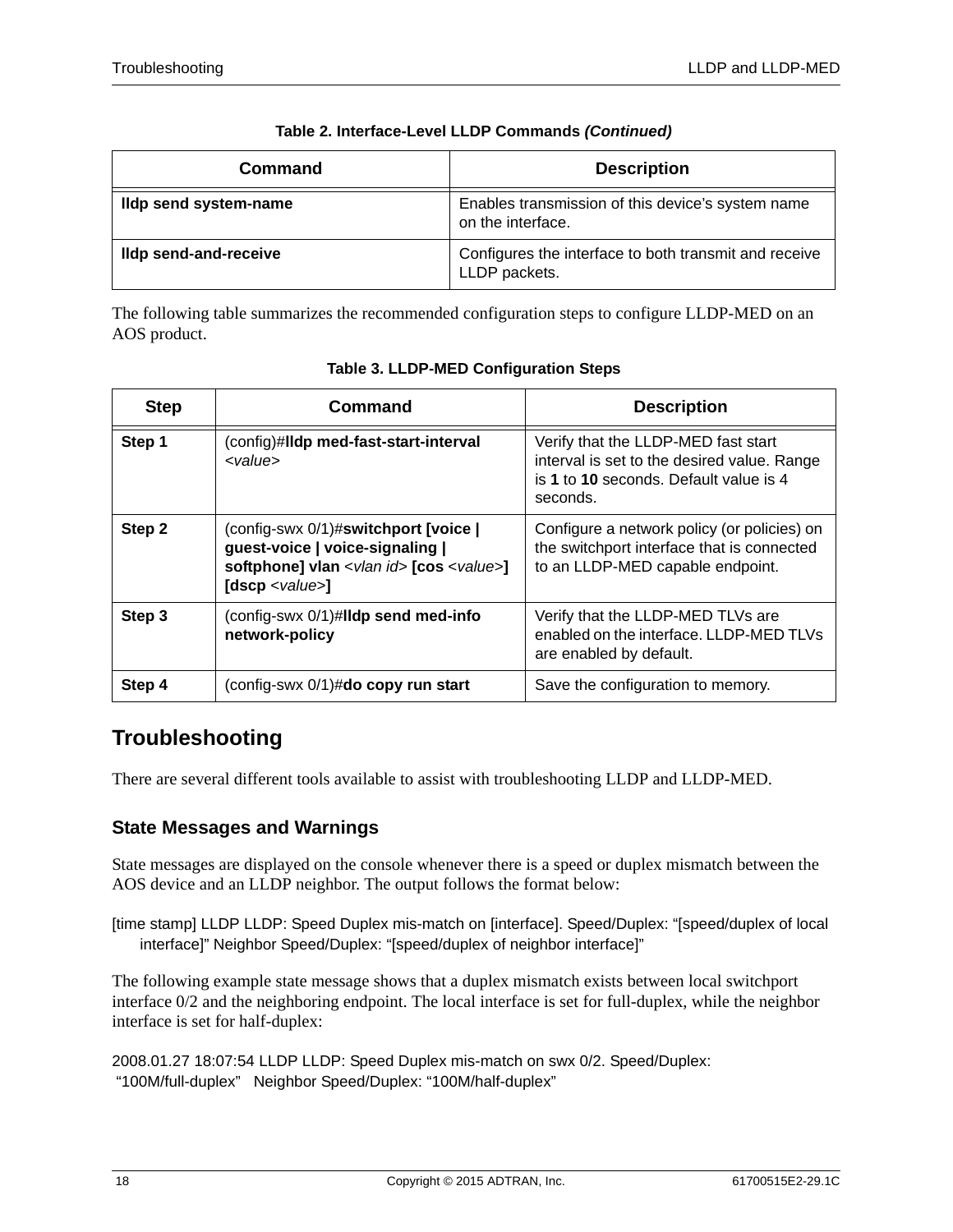| <b>Command</b>        | <b>Description</b>                                                     |
|-----------------------|------------------------------------------------------------------------|
| Ildp send system-name | Enables transmission of this device's system name<br>on the interface. |
| Ildp send-and-receive | Configures the interface to both transmit and receive<br>LLDP packets. |

| Table 2. Interface-Level LLDP Commands (Continued) |  |  |
|----------------------------------------------------|--|--|
|                                                    |  |  |

The following table summarizes the recommended configuration steps to configure LLDP-MED on an AOS product.

| <b>Step</b> | Command                                                                                                                                                         | <b>Description</b>                                                                                                                       |
|-------------|-----------------------------------------------------------------------------------------------------------------------------------------------------------------|------------------------------------------------------------------------------------------------------------------------------------------|
| Step 1      | (config)#lldp med-fast-start-interval<br><value></value>                                                                                                        | Verify that the LLDP-MED fast start<br>interval is set to the desired value. Range<br>is 1 to 10 seconds. Default value is 4<br>seconds. |
| Step 2      | (config-swx 0/1)#switchport [voice  <br>guest-voice   voice-signaling  <br>softphone] vlan <vlan id=""> [cos <value>]<br/>[dscp &lt; value &gt;]</value></vlan> | Configure a network policy (or policies) on<br>the switchport interface that is connected<br>to an LLDP-MED capable endpoint.            |
| Step 3      | (config-swx 0/1)#lldp send med-info<br>network-policy                                                                                                           | Verify that the LLDP-MED TLVs are<br>enabled on the interface. LLDP-MED TLVs<br>are enabled by default.                                  |
| Step 4      | (config-swx 0/1)#do copy run start                                                                                                                              | Save the configuration to memory.                                                                                                        |

|  | Table 3. LLDP-MED Configuration Steps |  |
|--|---------------------------------------|--|

# <span id="page-17-0"></span>**Troubleshooting**

There are several different tools available to assist with troubleshooting LLDP and LLDP-MED.

# **State Messages and Warnings**

State messages are displayed on the console whenever there is a speed or duplex mismatch between the AOS device and an LLDP neighbor. The output follows the format below:

[time stamp] LLDP LLDP: Speed Duplex mis-match on [interface]. Speed/Duplex: "[speed/duplex of local interface]" Neighbor Speed/Duplex: "[speed/duplex of neighbor interface]"

The following example state message shows that a duplex mismatch exists between local switchport interface 0/2 and the neighboring endpoint. The local interface is set for full-duplex, while the neighbor interface is set for half-duplex:

2008.01.27 18:07:54 LLDP LLDP: Speed Duplex mis-match on swx 0/2. Speed/Duplex: "100M/full-duplex" Neighbor Speed/Duplex: "100M/half-duplex"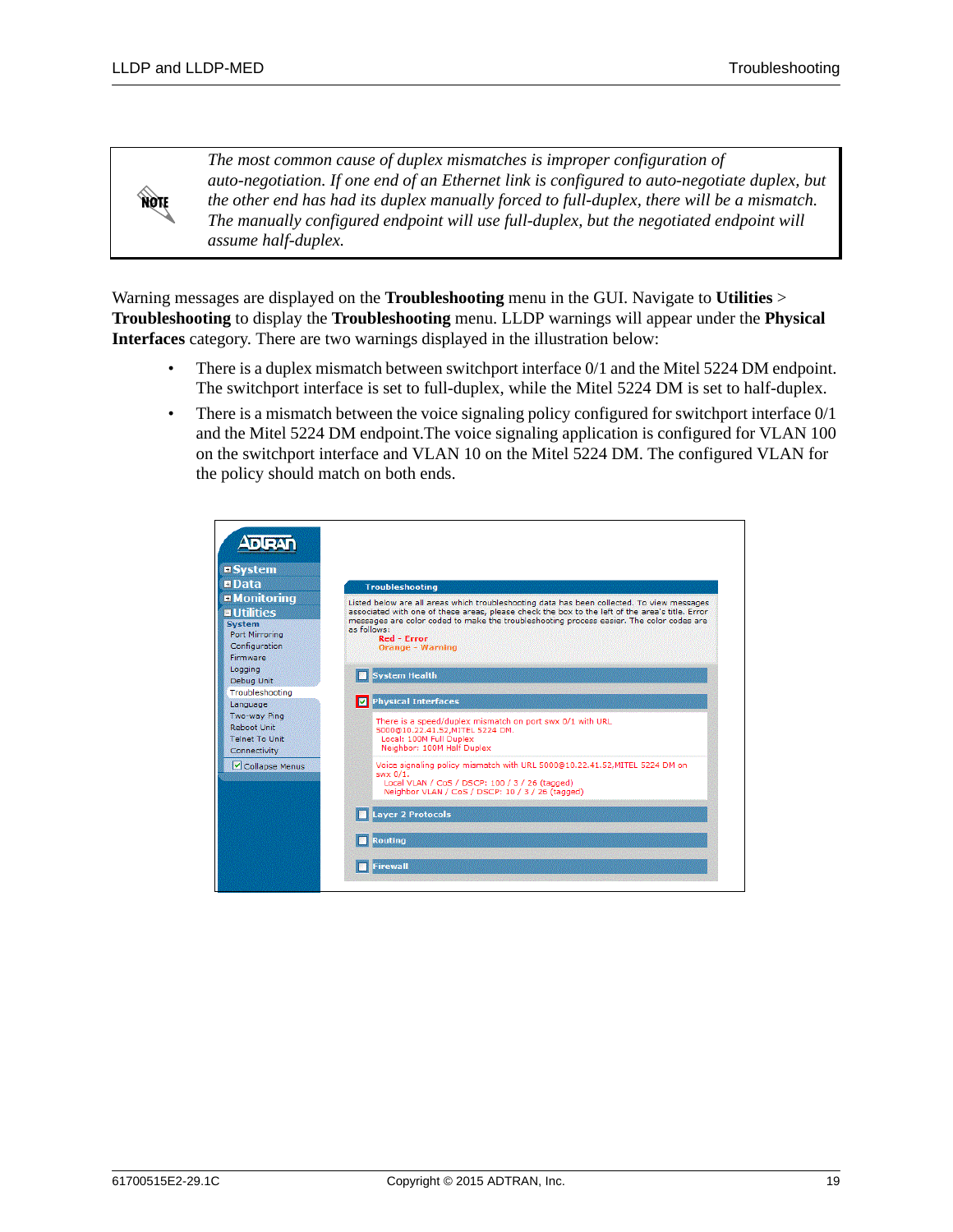**HOTE** 

*The most common cause of duplex mismatches is improper configuration of auto-negotiation. If one end of an Ethernet link is configured to auto-negotiate duplex, but the other end has had its duplex manually forced to full-duplex, there will be a mismatch. The manually configured endpoint will use full-duplex, but the negotiated endpoint will assume half-duplex.*

Warning messages are displayed on the **Troubleshooting** menu in the GUI. Navigate to **Utilities** > **Troubleshooting** to display the **Troubleshooting** menu. LLDP warnings will appear under the **Physical Interfaces** category. There are two warnings displayed in the illustration below:

- There is a duplex mismatch between switchport interface  $0/1$  and the Mitel 5224 DM endpoint. The switchport interface is set to full-duplex, while the Mitel 5224 DM is set to half-duplex.
- There is a mismatch between the voice signaling policy configured for switchport interface  $0/1$ and the Mitel 5224 DM endpoint.The voice signaling application is configured for VLAN 100 on the switchport interface and VLAN 10 on the Mitel 5224 DM. The configured VLAN for the policy should match on both ends.

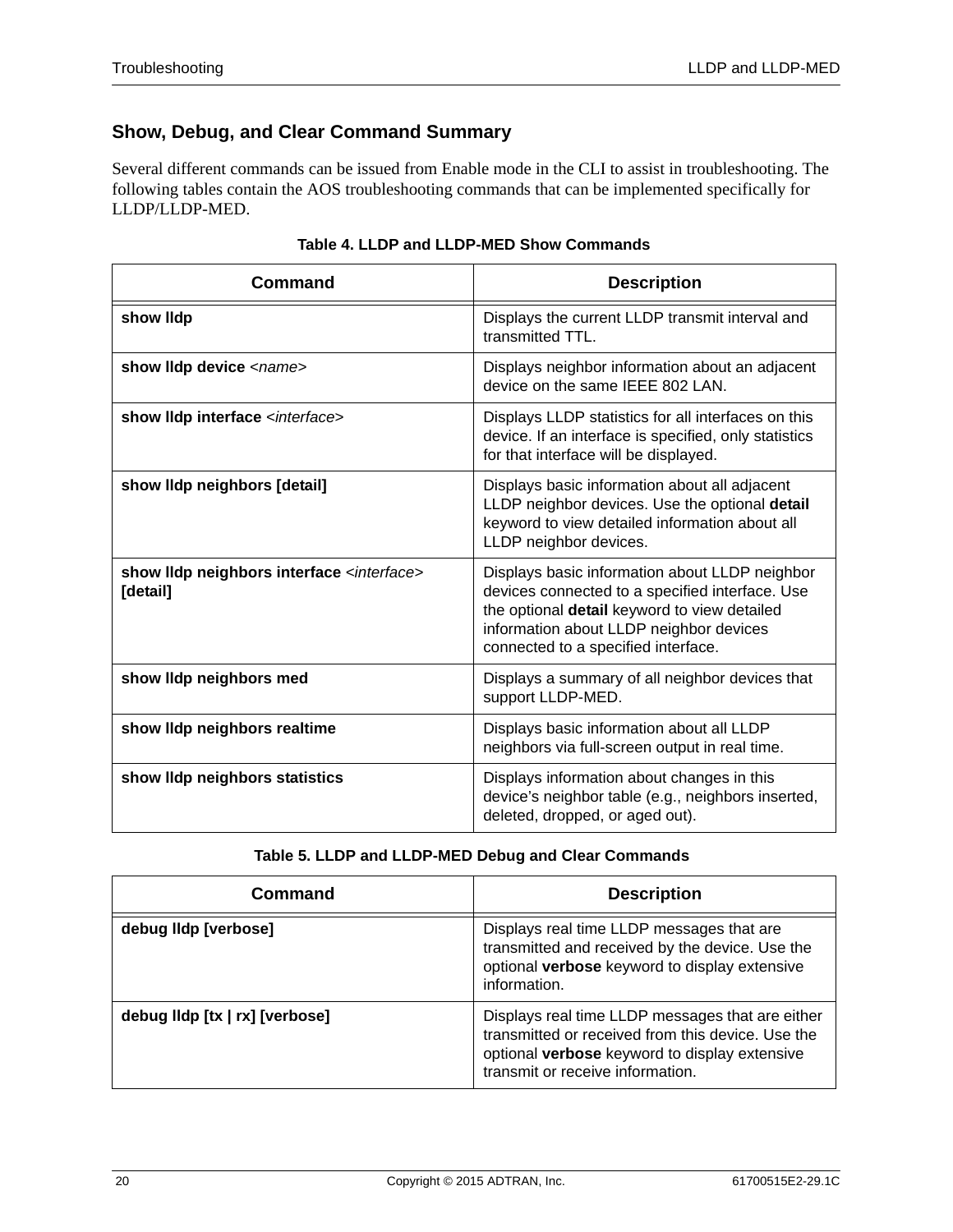# **Show, Debug, and Clear Command Summary**

Several different commands can be issued from Enable mode in the CLI to assist in troubleshooting. The following tables contain the AOS troubleshooting commands that can be implemented specifically for LLDP/LLDP-MED.

| Command                                                            | <b>Description</b>                                                                                                                                                                                                                  |
|--------------------------------------------------------------------|-------------------------------------------------------------------------------------------------------------------------------------------------------------------------------------------------------------------------------------|
| show lidp                                                          | Displays the current LLDP transmit interval and<br>transmitted TTL.                                                                                                                                                                 |
| show lidp device <name></name>                                     | Displays neighbor information about an adjacent<br>device on the same IEEE 802 LAN.                                                                                                                                                 |
| show IIdp interface <interface></interface>                        | Displays LLDP statistics for all interfaces on this<br>device. If an interface is specified, only statistics<br>for that interface will be displayed.                                                                               |
| show lidp neighbors [detail]                                       | Displays basic information about all adjacent<br>LLDP neighbor devices. Use the optional detail<br>keyword to view detailed information about all<br>LLDP neighbor devices.                                                         |
| show IIdp neighbors interface <interface><br/>[detail]</interface> | Displays basic information about LLDP neighbor<br>devices connected to a specified interface. Use<br>the optional detail keyword to view detailed<br>information about LLDP neighbor devices<br>connected to a specified interface. |
| show lidp neighbors med                                            | Displays a summary of all neighbor devices that<br>support LLDP-MED.                                                                                                                                                                |
| show lidp neighbors realtime                                       | Displays basic information about all LLDP<br>neighbors via full-screen output in real time.                                                                                                                                         |
| show IIdp neighbors statistics                                     | Displays information about changes in this<br>device's neighbor table (e.g., neighbors inserted,<br>deleted, dropped, or aged out).                                                                                                 |

|  |  | Table 4. LLDP and LLDP-MED Show Commands |
|--|--|------------------------------------------|
|--|--|------------------------------------------|

### **Table 5. LLDP and LLDP-MED Debug and Clear Commands**

| Command                        | <b>Description</b>                                                                                                                                                                         |
|--------------------------------|--------------------------------------------------------------------------------------------------------------------------------------------------------------------------------------------|
| debug Ildp [verbose]           | Displays real time LLDP messages that are<br>transmitted and received by the device. Use the<br>optional verbose keyword to display extensive<br>information.                              |
| debug lldp [tx   rx] [verbose] | Displays real time LLDP messages that are either<br>transmitted or received from this device. Use the<br>optional verbose keyword to display extensive<br>transmit or receive information. |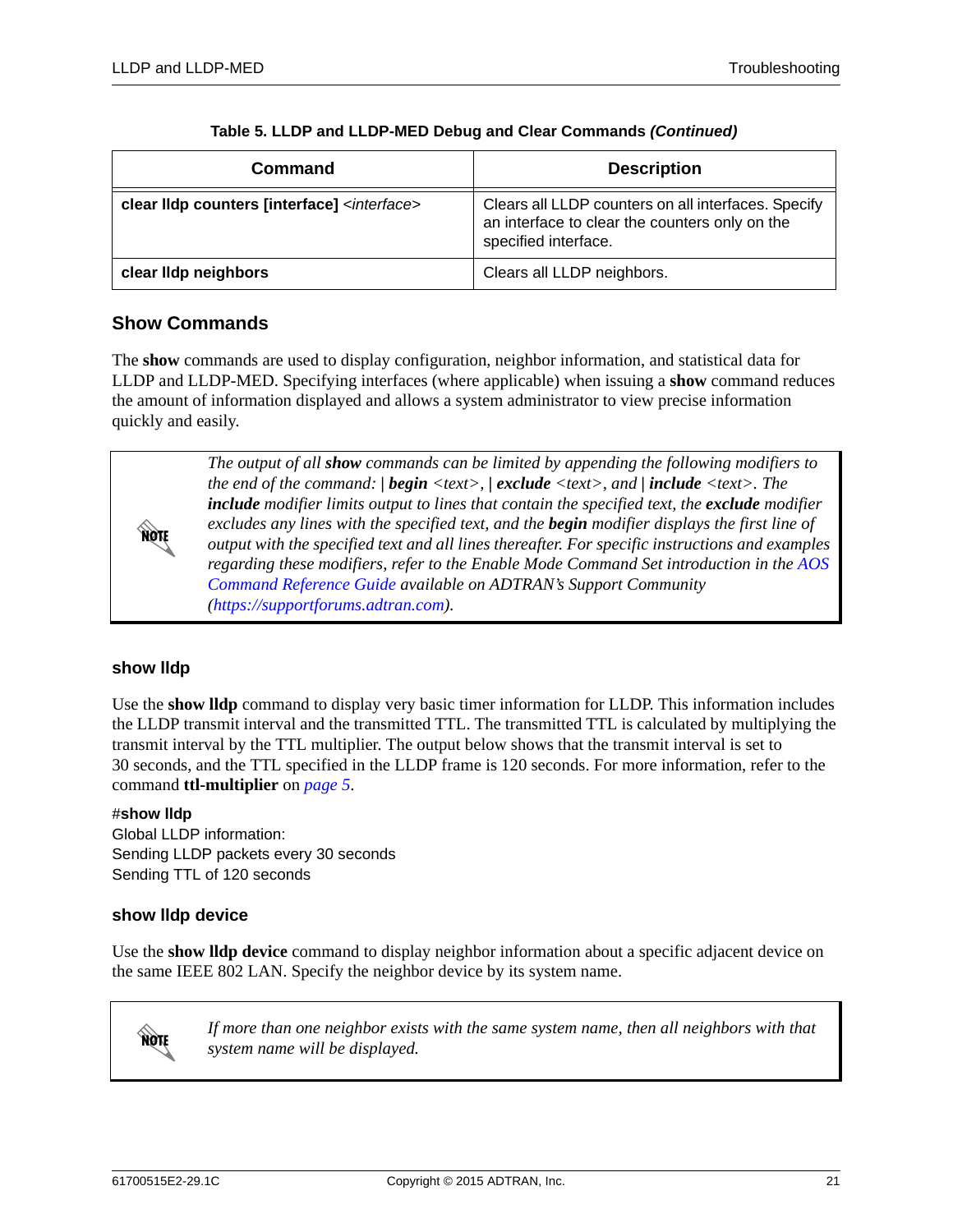| Command                                                 | <b>Description</b>                                                                                                            |
|---------------------------------------------------------|-------------------------------------------------------------------------------------------------------------------------------|
| clear IIdp counters [interface] <interface></interface> | Clears all LLDP counters on all interfaces. Specify<br>an interface to clear the counters only on the<br>specified interface. |
| clear lidp neighbors                                    | Clears all LLDP neighbors.                                                                                                    |

### **Table 5. LLDP and LLDP-MED Debug and Clear Commands** *(Continued)*

# **Show Commands**

The **show** commands are used to display configuration, neighbor information, and statistical data for LLDP and LLDP-MED. Specifying interfaces (where applicable) when issuing a **show** command reduces the amount of information displayed and allows a system administrator to view precise information quickly and easily.

> *The output of all show commands can be limited by appending the following modifiers to the end of the command: | begin <text>, | exclude <text>, and | include <text>. The include modifier limits output to lines that contain the specified text, the exclude modifier excludes any lines with the specified text, and the begin modifier displays the first line of output with the specified text and all lines thereafter. For specific instructions and examples regarding these modifiers, refer to the Enable Mode Command Set introduction in the AOS [Command Reference Guide](https://supportforums.adtran.com/docs/DOC-2011) available on ADTRAN's Support Community [\(https://supportforums.adtran.com](https://supportforums.adtran.com)).*

### **show lldp**

**MÓLE** 

Use the **show lldp** command to display very basic timer information for LLDP. This information includes the LLDP transmit interval and the transmitted TTL. The transmitted TTL is calculated by multiplying the transmit interval by the TTL multiplier. The output below shows that the transmit interval is set to 30 seconds, and the TTL specified in the LLDP frame is 120 seconds. For more information, refer to the command **ttl-multiplier** on *[page](#page-4-1) 5*.

### #**show lldp**

Global LLDP information: Sending LLDP packets every 30 seconds Sending TTL of 120 seconds

### **show lldp device**

Use the **show lldp device** command to display neighbor information about a specific adjacent device on the same IEEE 802 LAN. Specify the neighbor device by its system name.



*If more than one neighbor exists with the same system name, then all neighbors with that system name will be displayed.*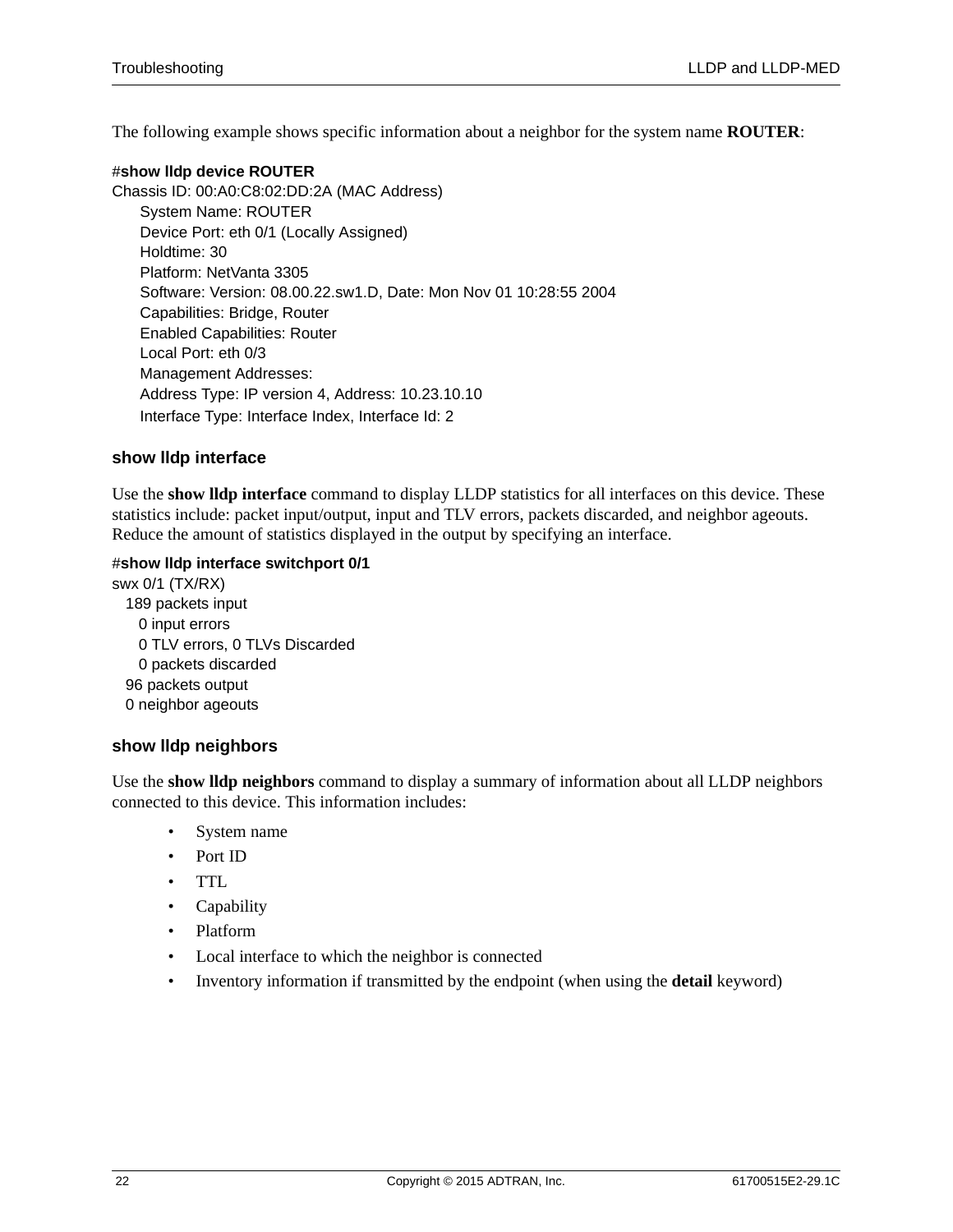The following example shows specific information about a neighbor for the system name **ROUTER**:

#### #**show lldp device ROUTER**

Chassis ID: 00:A0:C8:02:DD:2A (MAC Address) System Name: ROUTER Device Port: eth 0/1 (Locally Assigned) Holdtime: 30 Platform: NetVanta 3305 Software: Version: 08.00.22.sw1.D, Date: Mon Nov 01 10:28:55 2004 Capabilities: Bridge, Router Enabled Capabilities: Router Local Port: eth 0/3 Management Addresses: Address Type: IP version 4, Address: 10.23.10.10 Interface Type: Interface Index, Interface Id: 2

### **show lldp interface**

Use the **show lldp interface** command to display LLDP statistics for all interfaces on this device. These statistics include: packet input/output, input and TLV errors, packets discarded, and neighbor ageouts. Reduce the amount of statistics displayed in the output by specifying an interface.

### #**show lldp interface switchport 0/1**

swx 0/1 (TX/RX) 189 packets input 0 input errors 0 TLV errors, 0 TLVs Discarded 0 packets discarded 96 packets output 0 neighbor ageouts

### **show lldp neighbors**

Use the **show lldp neighbors** command to display a summary of information about all LLDP neighbors connected to this device. This information includes:

- System name
- Port ID
- TTL
- Capability
- Platform
- Local interface to which the neighbor is connected
- Inventory information if transmitted by the endpoint (when using the **detail** keyword)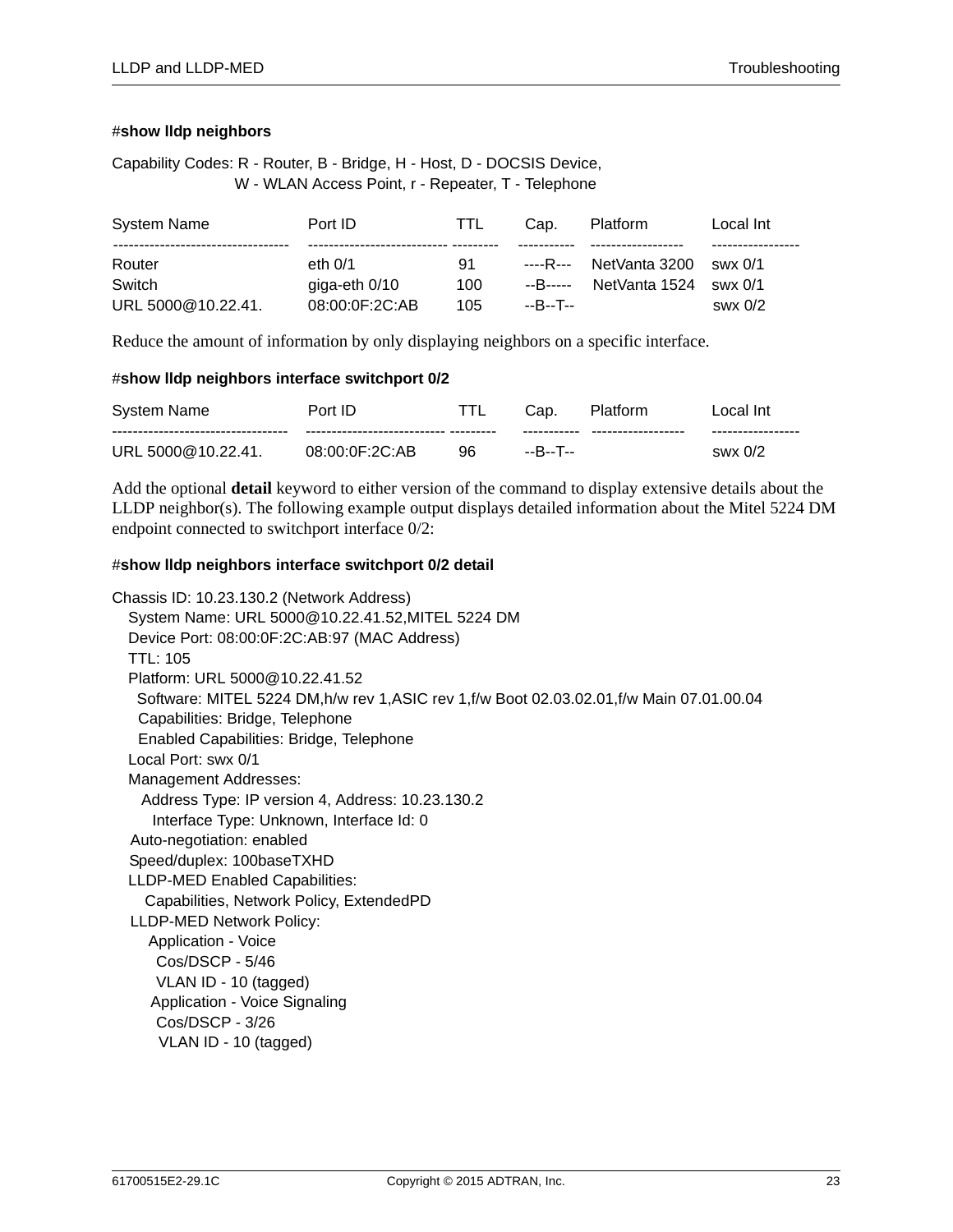#### #**show lldp neighbors**

Capability Codes: R - Router, B - Bridge, H - Host, D - DOCSIS Device, W - WLAN Access Point, r - Repeater, T - Telephone

| System Name        | Port ID         | TTL. | Cap.     | <b>Platform</b>        | Local Int   |
|--------------------|-----------------|------|----------|------------------------|-------------|
|                    |                 |      |          |                        |             |
| Router             | eth $0/1$       | 91   |          | ----R--- NetVanta 3200 |             |
| Switch             | giga-eth $0/10$ | 100  |          | --B----- NetVanta 1524 | $swx$ $0/1$ |
| URL 5000@10.22.41. | 08:00:0F:2C:AB  | 105  | --B--T-- |                        | swx0/2      |

Reduce the amount of information by only displaying neighbors on a specific interface.

#### #**show lldp neighbors interface switchport 0/2**

| System Name        | Port ID                           |    | Cap.        | Platform           | Local Int∶        |
|--------------------|-----------------------------------|----|-------------|--------------------|-------------------|
|                    | ------------------------ -------- |    | ----------- | ------------------ | ----------------- |
| URL 5000@10.22.41. | 08:00:0F:2C:AB                    | 96 | --B--T--    |                    | swx 0/2           |

Add the optional **detail** keyword to either version of the command to display extensive details about the LLDP neighbor(s). The following example output displays detailed information about the Mitel 5224 DM endpoint connected to switchport interface 0/2:

#### #**show lldp neighbors interface switchport 0/2 detail**

```
Chassis ID: 10.23.130.2 (Network Address)
System Name: URL 5000@10.22.41.52,MITEL 5224 DM
Device Port: 08:00:0F:2C:AB:97 (MAC Address)
TTL: 105
Platform: URL 5000@10.22.41.52
  Software: MITEL 5224 DM,h/w rev 1,ASIC rev 1,f/w Boot 02.03.02.01,f/w Main 07.01.00.04
  Capabilities: Bridge, Telephone
  Enabled Capabilities: Bridge, Telephone
Local Port: swx 0/1
Management Addresses:
   Address Type: IP version 4, Address: 10.23.130.2
    Interface Type: Unknown, Interface Id: 0
 Auto-negotiation: enabled
 Speed/duplex: 100baseTXHD
LLDP-MED Enabled Capabilities:
   Capabilities, Network Policy, ExtendedPD
 LLDP-MED Network Policy:
    Application - Voice
     Cos/DSCP - 5/46
     VLAN ID - 10 (tagged)
    Application - Voice Signaling
     Cos/DSCP - 3/26
    VLAN ID - 10 (tagged)
```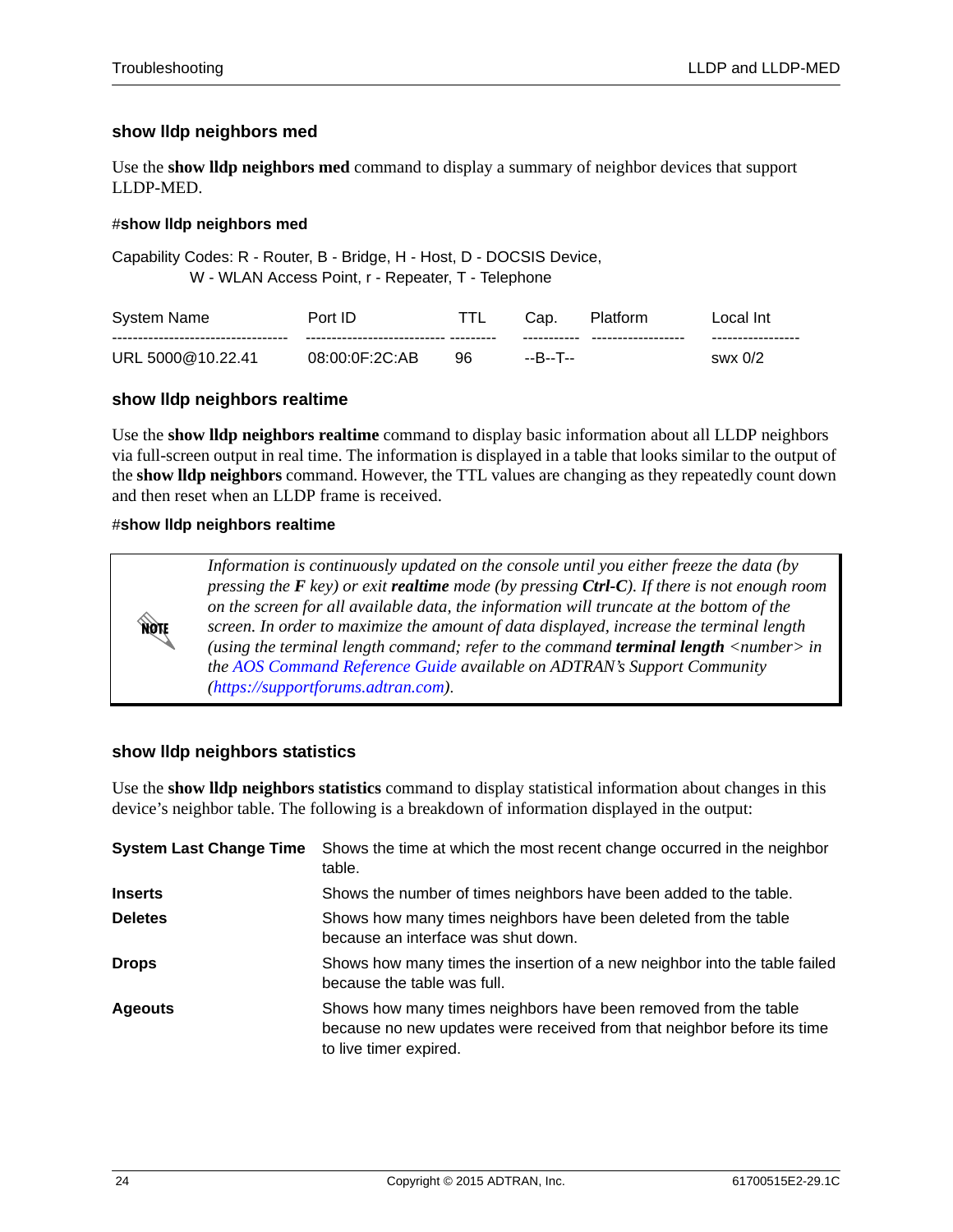### **show lldp neighbors med**

Use the **show lldp neighbors med** command to display a summary of neighbor devices that support LLDP-MED.

### #**show lldp neighbors med**

Capability Codes: R - Router, B - Bridge, H - Host, D - DOCSIS Device, W - WLAN Access Point, r - Repeater, T - Telephone

| System Name       | Port ID                              |    | Cap.        | <b>Platform</b>    | ∟ocal Int         |
|-------------------|--------------------------------------|----|-------------|--------------------|-------------------|
|                   | --------------------------- -------- |    | ----------- | ------------------ | ----------------- |
| URL 5000@10.22.41 | 08:00:0F:2C:AB                       | 96 | --R--T--    |                    | swx 0/2           |

### **show lldp neighbors realtime**

Use the **show lldp neighbors realtime** command to display basic information about all LLDP neighbors via full-screen output in real time. The information is displayed in a table that looks similar to the output of the **show lldp neighbors** command. However, the TTL values are changing as they repeatedly count down and then reset when an LLDP frame is received.

#### #**show lldp neighbors realtime**



*Information is continuously updated on the console until you either freeze the data (by pressing the F key) or exit realtime mode (by pressing Ctrl-C). If there is not enough room on the screen for all available data, the information will truncate at the bottom of the screen. In order to maximize the amount of data displayed, increase the terminal length (using the terminal length command; refer to the command terminal length <number> in the [AOS Command Reference Guide](https://supportforums.adtran.com/docs/DOC-2011) available on ADTRAN's Support Community [\(https://supportforums.adtran.com](https://supportforums.adtran.com))*.

### **show lldp neighbors statistics**

Use the **show lldp neighbors statistics** command to display statistical information about changes in this device's neighbor table. The following is a breakdown of information displayed in the output:

| <b>System Last Change Time</b> | Shows the time at which the most recent change occurred in the neighbor<br>table.                                                                                    |
|--------------------------------|----------------------------------------------------------------------------------------------------------------------------------------------------------------------|
| <b>Inserts</b>                 | Shows the number of times neighbors have been added to the table.                                                                                                    |
| <b>Deletes</b>                 | Shows how many times neighbors have been deleted from the table<br>because an interface was shut down.                                                               |
| <b>Drops</b>                   | Shows how many times the insertion of a new neighbor into the table failed<br>because the table was full.                                                            |
| <b>Ageouts</b>                 | Shows how many times neighbors have been removed from the table<br>because no new updates were received from that neighbor before its time<br>to live timer expired. |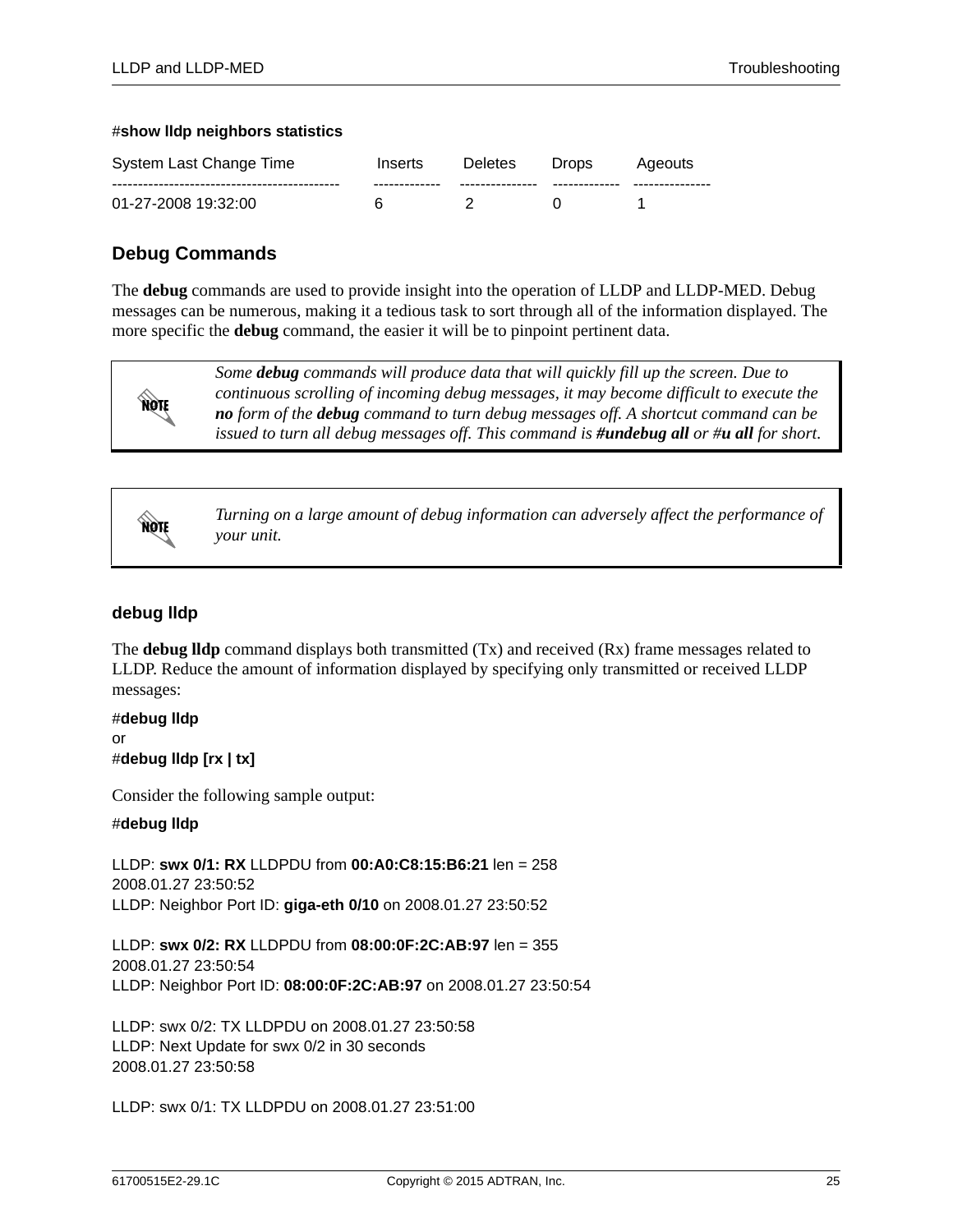#### #**show lldp neighbors statistics**

| System Last Change Time | Inserts       | <b>Deletes</b> | Drops. | Ageouts |
|-------------------------|---------------|----------------|--------|---------|
|                         | ------------- |                |        |         |
| 01-27-2008 19:32:00     |               |                |        |         |

# **Debug Commands**

The **debug** commands are used to provide insight into the operation of LLDP and LLDP-MED. Debug messages can be numerous, making it a tedious task to sort through all of the information displayed. The more specific the **debug** command, the easier it will be to pinpoint pertinent data.



*Some debug commands will produce data that will quickly fill up the screen. Due to continuous scrolling of incoming debug messages, it may become difficult to execute the no form of the debug command to turn debug messages off. A shortcut command can be issued to turn all debug messages off. This command is #undebug all or #u all for short.* 



*Turning on a large amount of debug information can adversely affect the performance of your unit.*

### **debug lldp**

The **debug lldp** command displays both transmitted (Tx) and received (Rx) frame messages related to LLDP. Reduce the amount of information displayed by specifying only transmitted or received LLDP messages:

#**debug lldp** or #**debug lldp [rx | tx]**

Consider the following sample output:

#### #**debug lldp**

LLDP: **swx 0/1: RX** LLDPDU from **00:A0:C8:15:B6:21** len = 258 2008.01.27 23:50:52 LLDP: Neighbor Port ID: **giga-eth 0/10** on 2008.01.27 23:50:52

LLDP: **swx 0/2: RX** LLDPDU from **08:00:0F:2C:AB:97** len = 355 2008.01.27 23:50:54 LLDP: Neighbor Port ID: **08:00:0F:2C:AB:97** on 2008.01.27 23:50:54

LLDP: swx 0/2: TX LLDPDU on 2008.01.27 23:50:58 LLDP: Next Update for swx 0/2 in 30 seconds 2008.01.27 23:50:58

LLDP: swx 0/1: TX LLDPDU on 2008.01.27 23:51:00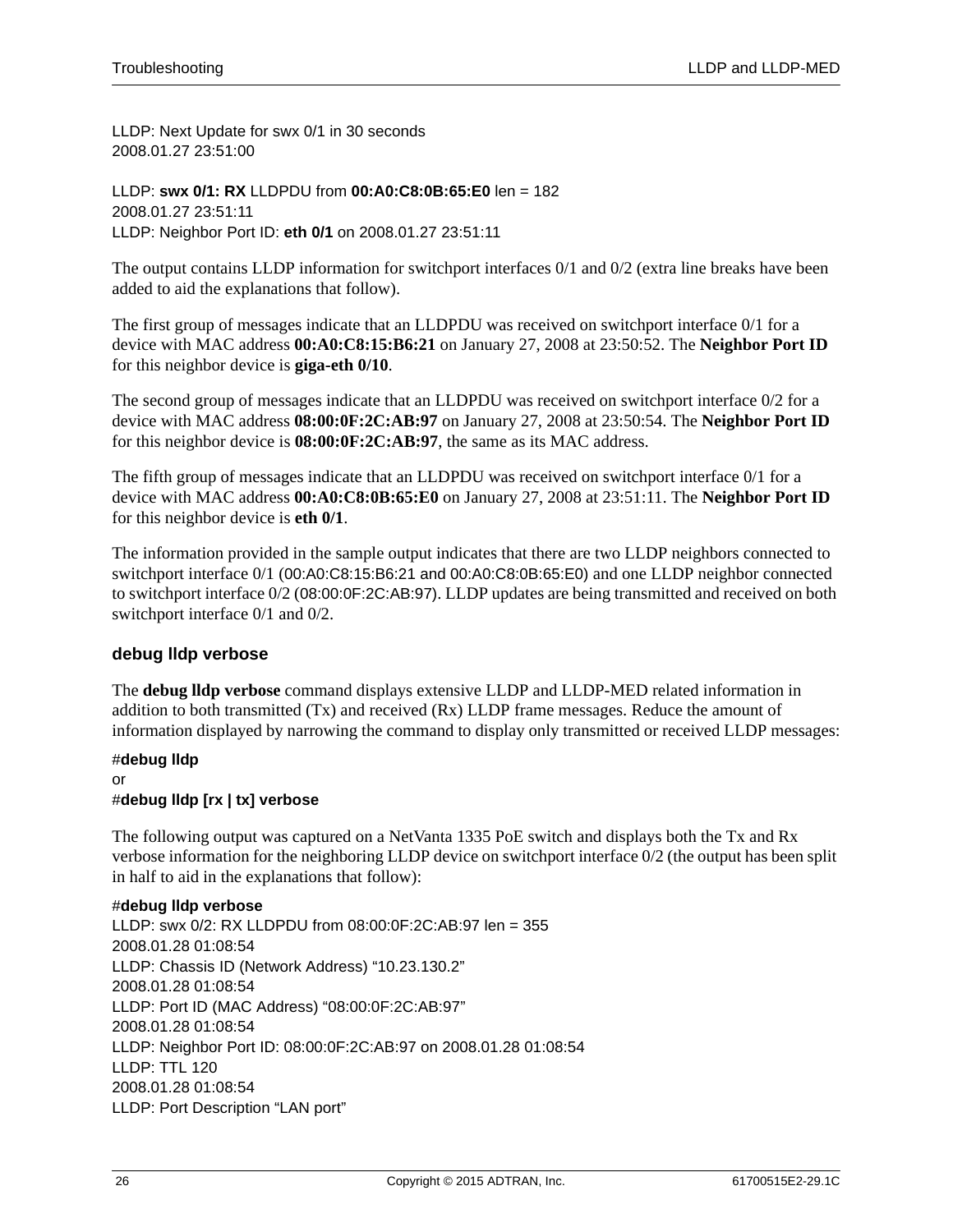LLDP: Next Update for swx 0/1 in 30 seconds 2008.01.27 23:51:00

LLDP: **swx 0/1: RX** LLDPDU from **00:A0:C8:0B:65:E0** len = 182 2008.01.27 23:51:11 LLDP: Neighbor Port ID: **eth 0/1** on 2008.01.27 23:51:11

The output contains LLDP information for switchport interfaces 0/1 and 0/2 (extra line breaks have been added to aid the explanations that follow).

The first group of messages indicate that an LLDPDU was received on switchport interface 0/1 for a device with MAC address **00:A0:C8:15:B6:21** on January 27, 2008 at 23:50:52. The **Neighbor Port ID** for this neighbor device is **giga-eth 0/10**.

The second group of messages indicate that an LLDPDU was received on switchport interface 0/2 for a device with MAC address **08:00:0F:2C:AB:97** on January 27, 2008 at 23:50:54. The **Neighbor Port ID** for this neighbor device is **08:00:0F:2C:AB:97**, the same as its MAC address.

The fifth group of messages indicate that an LLDPDU was received on switchport interface 0/1 for a device with MAC address **00:A0:C8:0B:65:E0** on January 27, 2008 at 23:51:11. The **Neighbor Port ID** for this neighbor device is **eth 0/1**.

The information provided in the sample output indicates that there are two LLDP neighbors connected to switchport interface 0/1 (00:A0:C8:15:B6:21 and 00:A0:C8:0B:65:E0) and one LLDP neighbor connected to switchport interface 0/2 (08:00:0F:2C:AB:97). LLDP updates are being transmitted and received on both switchport interface 0/1 and 0/2.

### **debug lldp verbose**

The **debug lldp verbose** command displays extensive LLDP and LLDP-MED related information in addition to both transmitted (Tx) and received (Rx) LLDP frame messages. Reduce the amount of information displayed by narrowing the command to display only transmitted or received LLDP messages:

### #**debug lldp**

or #**debug lldp [rx | tx] verbose**

The following output was captured on a NetVanta 1335 PoE switch and displays both the Tx and Rx verbose information for the neighboring LLDP device on switchport interface 0/2 (the output has been split in half to aid in the explanations that follow):

### #**debug lldp verbose**

LLDP: swx 0/2: RX LLDPDU from 08:00:0F:2C:AB:97 len = 355 2008.01.28 01:08:54 LLDP: Chassis ID (Network Address) "10.23.130.2" 2008.01.28 01:08:54 LLDP: Port ID (MAC Address) "08:00:0F:2C:AB:97" 2008.01.28 01:08:54 LLDP: Neighbor Port ID: 08:00:0F:2C:AB:97 on 2008.01.28 01:08:54 LLDP: TTL 120 2008.01.28 01:08:54 LLDP: Port Description "LAN port"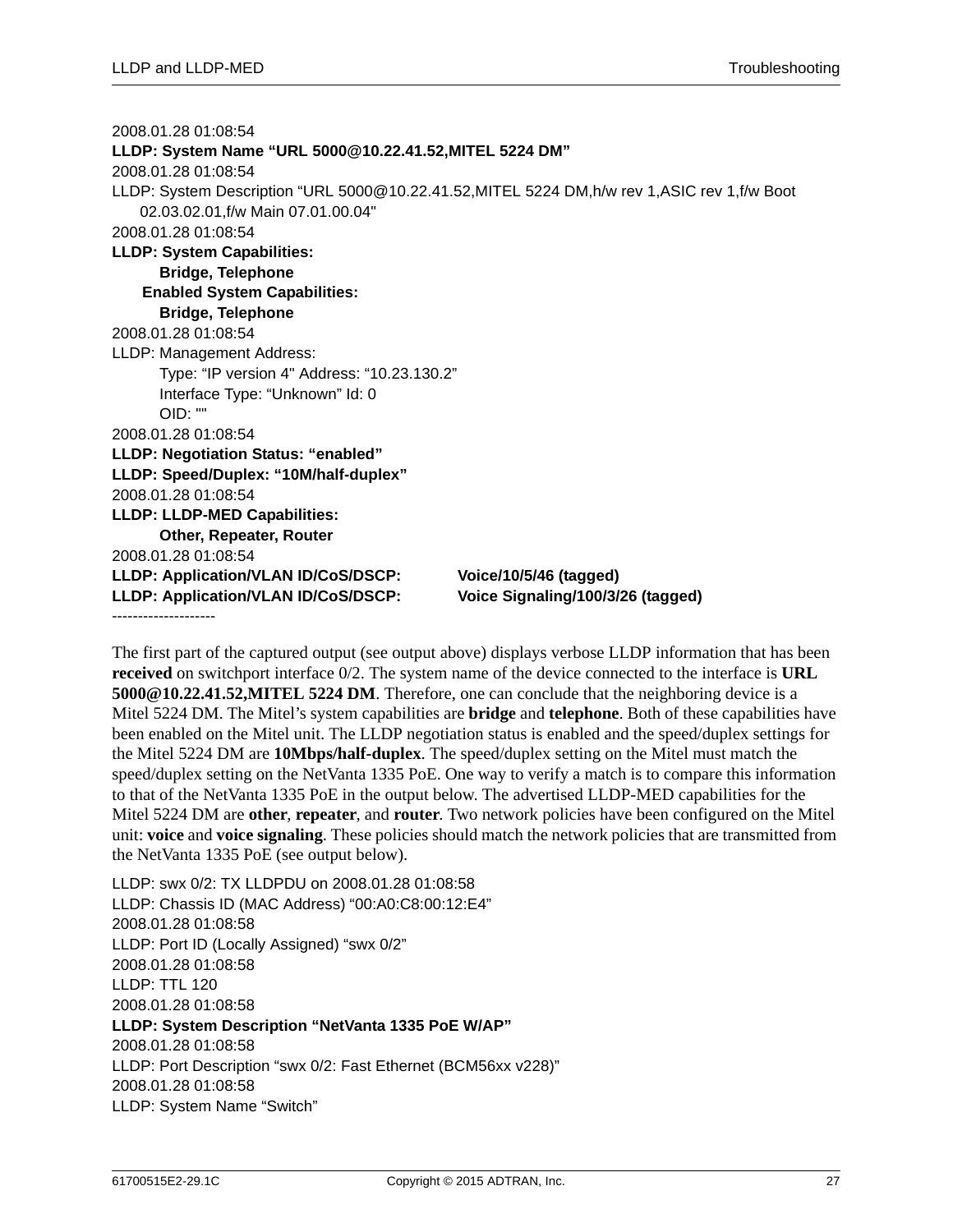2008.01.28 01:08:54 **LLDP: System Name "URL 5000@10.22.41.52,MITEL 5224 DM"** 2008.01.28 01:08:54 LLDP: System Description "URL 5000@10.22.41.52,MITEL 5224 DM,h/w rev 1,ASIC rev 1,f/w Boot 02.03.02.01,f/w Main 07.01.00.04" 2008.01.28 01:08:54 **LLDP: System Capabilities: Bridge, Telephone Enabled System Capabilities: Bridge, Telephone** 2008.01.28 01:08:54 LLDP: Management Address: Type: "IP version 4" Address: "10.23.130.2" Interface Type: "Unknown" Id: 0 OID: "" 2008.01.28 01:08:54 **LLDP: Negotiation Status: "enabled" LLDP: Speed/Duplex: "10M/half-duplex"** 2008.01.28 01:08:54 **LLDP: LLDP-MED Capabilities: Other, Repeater, Router** 2008.01.28 01:08:54 **LLDP: Application/VLAN ID/CoS/DSCP: Voice/10/5/46 (tagged) LLDP: Application/VLAN ID/CoS/DSCP: Voice Signaling/100/3/26 (tagged)** --------------------

The first part of the captured output (see output above) displays verbose LLDP information that has been **received** on switchport interface 0/2. The system name of the device connected to the interface is **URL 5000@10.22.41.52,MITEL 5224 DM**. Therefore, one can conclude that the neighboring device is a Mitel 5224 DM. The Mitel's system capabilities are **bridge** and **telephone**. Both of these capabilities have been enabled on the Mitel unit. The LLDP negotiation status is enabled and the speed/duplex settings for the Mitel 5224 DM are **10Mbps/half-duplex**. The speed/duplex setting on the Mitel must match the speed/duplex setting on the NetVanta 1335 PoE. One way to verify a match is to compare this information to that of the NetVanta 1335 PoE in the output below. The advertised LLDP-MED capabilities for the Mitel 5224 DM are **other**, **repeater**, and **router**. Two network policies have been configured on the Mitel unit: **voice** and **voice signaling**. These policies should match the network policies that are transmitted from the NetVanta 1335 PoE (see output below).

LLDP: swx 0/2: TX LLDPDU on 2008.01.28 01:08:58 LLDP: Chassis ID (MAC Address) "00:A0:C8:00:12:E4" 2008.01.28 01:08:58 LLDP: Port ID (Locally Assigned) "swx 0/2" 2008.01.28 01:08:58 LLDP: TTL 120 2008.01.28 01:08:58 **LLDP: System Description "NetVanta 1335 PoE W/AP"** 2008.01.28 01:08:58 LLDP: Port Description "swx 0/2: Fast Ethernet (BCM56xx v228)" 2008.01.28 01:08:58 LLDP: System Name "Switch"